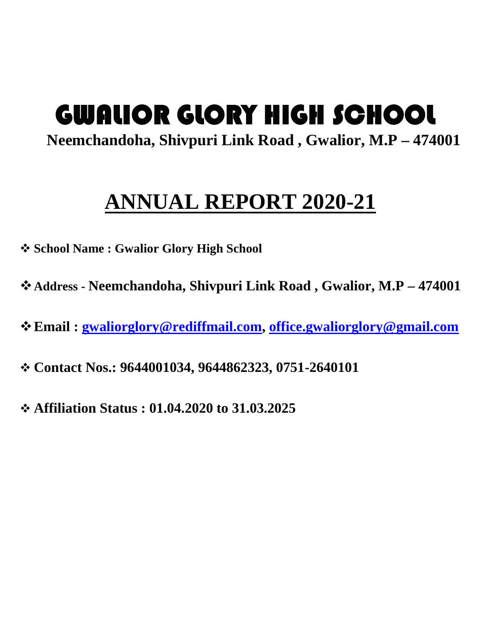# **GWALIOR GLORY HIGH SCHOOL**

**Neemchandoha, Shivpuri Link Road , Gwalior, M.P – 474001**

## **ANNUAL REPORT 2020-21**

- **School Name : Gwalior Glory High School**
- **Address - Neemchandoha, Shivpuri Link Road , Gwalior, M.P – 474001**
- **Email : gwaliorglory@rediffmail.com, office.gwaliorglory@gmail.com**
- **Contact Nos.: 9644001034, 9644862323, 0751-2640101**
- **Affiliation Status : 01.04.2020 to 31.03.2025**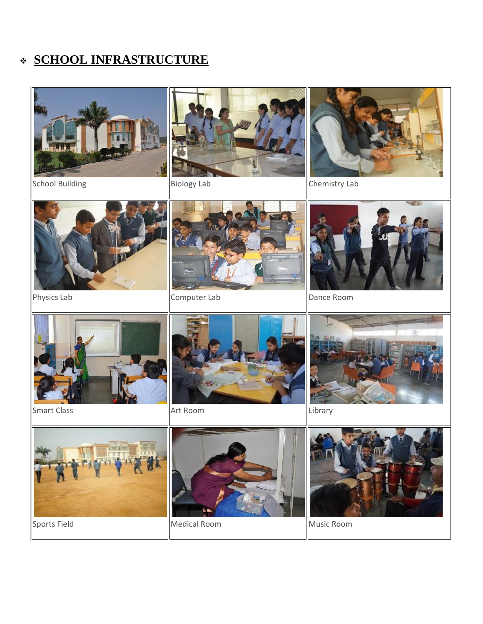## **SCHOOL INFRASTRUCTURE**



School Building **Biology Lab** Chemistry Lab









Physics Lab **Computer Lab** Physics Lab **Dance Room** 





Smart Class **Art Room** Library **Library** 









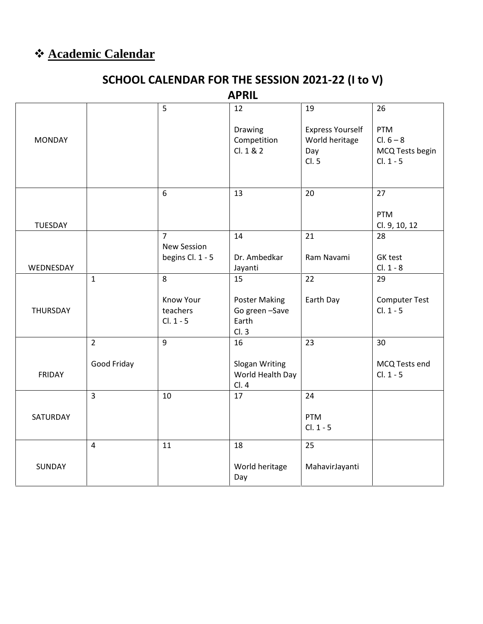## **Academic Calendar**

## **SCHOOL CALENDAR FOR THE SESSION 2021-22 (I to V)**

**APRIL**

|               |                | 5                                           | 12                                                      | 19                                        | 26                                  |
|---------------|----------------|---------------------------------------------|---------------------------------------------------------|-------------------------------------------|-------------------------------------|
| <b>MONDAY</b> |                |                                             | Drawing<br>Competition                                  | <b>Express Yourself</b><br>World heritage | PTM<br>$Cl. 6 - 8$                  |
|               |                |                                             | Cl. 1 & 2                                               | Day<br>Cl. 5                              | MCQ Tests begin<br>$Cl. 1 - 5$      |
|               |                |                                             |                                                         |                                           |                                     |
|               |                | $\boldsymbol{6}$                            | 13                                                      | 20                                        | 27                                  |
| TUESDAY       |                |                                             |                                                         |                                           | <b>PTM</b><br>Cl. 9, 10, 12         |
|               |                | $\overline{7}$<br><b>New Session</b>        | 14                                                      | 21                                        | 28                                  |
| WEDNESDAY     |                | begins Cl. 1 - 5                            | Dr. Ambedkar<br>Jayanti                                 | Ram Navami                                | GK test<br>$Cl. 1 - 8$              |
|               | $\mathbf{1}$   | 8                                           | 15                                                      | 22                                        | 29                                  |
| THURSDAY      |                | <b>Know Your</b><br>teachers<br>$Cl. 1 - 5$ | <b>Poster Making</b><br>Go green -Save<br>Earth<br>Cl.3 | Earth Day                                 | <b>Computer Test</b><br>$Cl. 1 - 5$ |
|               | $\overline{2}$ | $\overline{9}$                              | 16                                                      | 23                                        | 30                                  |
| <b>FRIDAY</b> | Good Friday    |                                             | Slogan Writing<br>World Health Day<br>Cl.4              |                                           | MCQ Tests end<br>$Cl. 1 - 5$        |
|               | $\overline{3}$ | 10                                          | 17                                                      | 24                                        |                                     |
| SATURDAY      |                |                                             |                                                         | <b>PTM</b><br>$Cl. 1 - 5$                 |                                     |
|               | $\overline{4}$ | 11                                          | 18                                                      | 25                                        |                                     |
| SUNDAY        |                |                                             | World heritage<br>Day                                   | MahavirJayanti                            |                                     |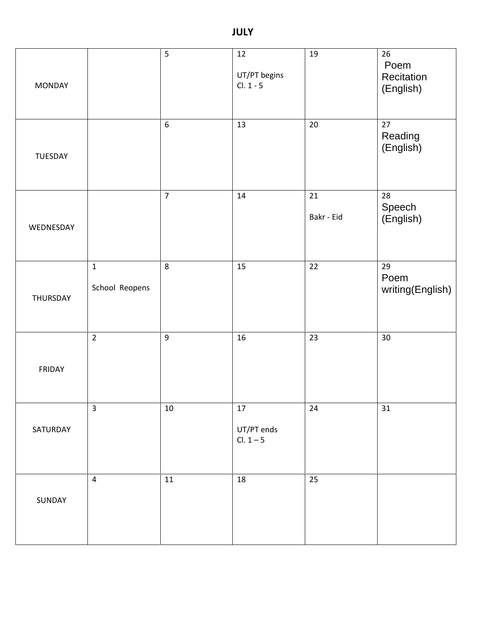| <b>MONDAY</b> |                                | 5                | 12<br>UT/PT begins<br>$Cl. 1 - 5$   | 19               | 26<br>Poem<br>Recitation<br>(English) |
|---------------|--------------------------------|------------------|-------------------------------------|------------------|---------------------------------------|
| TUESDAY       |                                | $6\,$            | 13                                  | 20               | 27<br>Reading<br>(English)            |
| WEDNESDAY     |                                | $\overline{7}$   | 14                                  | 21<br>Bakr - Eid | 28<br>Speech<br>(English)             |
| THURSDAY      | $\mathbf{1}$<br>School Reopens | $\,8\,$          | 15                                  | 22               | 29<br>Poem<br>writing(English)        |
| FRIDAY        | $\overline{2}$                 | $\boldsymbol{9}$ | $16\,$                              | 23               | 30                                    |
| SATURDAY      | $\overline{3}$                 | $10\,$           | $17\,$<br>UT/PT ends<br>$Cl. 1 - 5$ | 24               | 31                                    |
| SUNDAY        | $\overline{4}$                 | 11               | 18                                  | 25               |                                       |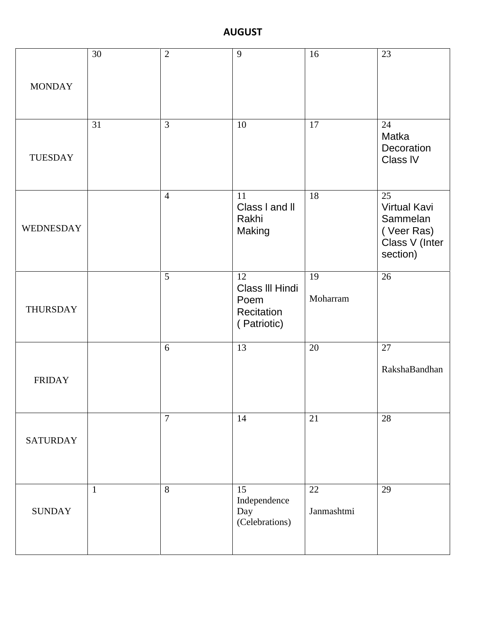#### **AUGUST**

|                 | 30           | $\overline{2}$ | 9                                                          | 16               | 23                                                                                |
|-----------------|--------------|----------------|------------------------------------------------------------|------------------|-----------------------------------------------------------------------------------|
| <b>MONDAY</b>   |              |                |                                                            |                  |                                                                                   |
| <b>TUESDAY</b>  | 31           | 3              | 10                                                         | 17               | 24<br>Matka<br>Decoration<br>Class IV                                             |
| WEDNESDAY       |              | $\overline{4}$ | 11<br>Class I and II<br>Rakhi<br>Making                    | 18               | 25<br><b>Virtual Kavi</b><br>Sammelan<br>(Veer Ras)<br>Class V (Inter<br>section) |
| <b>THURSDAY</b> |              | 5              | 12<br>Class III Hindi<br>Poem<br>Recitation<br>(Patriotic) | 19<br>Moharram   | 26                                                                                |
| <b>FRIDAY</b>   |              | 6              | 13                                                         | 20               | 27<br>RakshaBandhan                                                               |
| <b>SATURDAY</b> |              | $\overline{7}$ | 14                                                         | 21               | 28                                                                                |
| <b>SUNDAY</b>   | $\mathbf{1}$ | $8\,$          | 15<br>Independence<br>Day<br>(Celebrations)                | 22<br>Janmashtmi | 29                                                                                |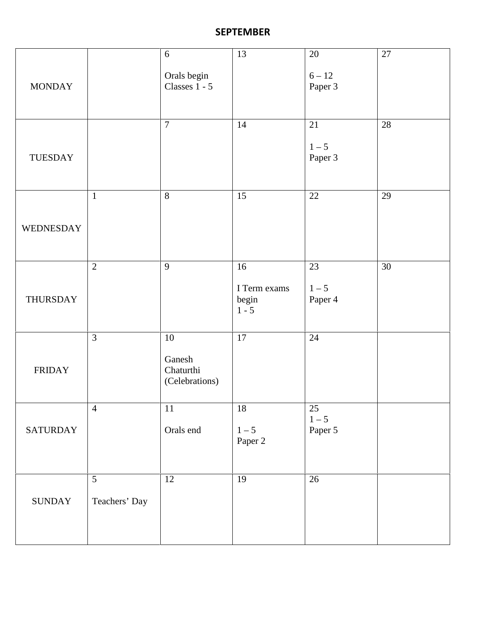#### **SEPTEMBER**

|                 |                    | 6                                               | 13                                     | 20                       | $27\,$ |
|-----------------|--------------------|-------------------------------------------------|----------------------------------------|--------------------------|--------|
| <b>MONDAY</b>   |                    | Orals begin<br>Classes 1 - 5                    |                                        | $6 - 12$<br>Paper 3      |        |
| <b>TUESDAY</b>  |                    | $\tau$                                          | 14                                     | 21<br>$1 - 5$<br>Paper 3 | 28     |
| WEDNESDAY       | $\mathbf{1}$       | $8\,$                                           | 15                                     | 22                       | 29     |
| THURSDAY        | $\overline{2}$     | $\mathbf{9}$                                    | 16<br>I Term exams<br>begin<br>$1 - 5$ | 23<br>$1 - 5$<br>Paper 4 | 30     |
| <b>FRIDAY</b>   | $\overline{3}$     | $10\,$<br>Ganesh<br>Chaturthi<br>(Celebrations) | $17\,$                                 | 24                       |        |
| <b>SATURDAY</b> | $\overline{4}$     | $11\,$<br>Orals end                             | 18<br>$1 - 5$<br>Paper 2               | 25<br>$1-5$<br>Paper 5   |        |
| <b>SUNDAY</b>   | 5<br>Teachers' Day | $12\,$                                          | 19                                     | 26                       |        |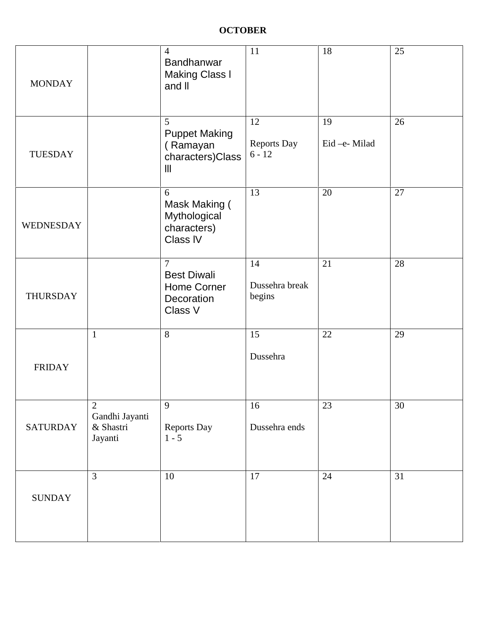| <b>MONDAY</b>   |                                                          | $\overline{4}$<br>Bandhanwar<br><b>Making Class I</b><br>and II              | 11                             | 18                | 25 |
|-----------------|----------------------------------------------------------|------------------------------------------------------------------------------|--------------------------------|-------------------|----|
| <b>TUESDAY</b>  |                                                          | 5<br><b>Puppet Making</b><br>(Ramayan<br>characters)Class<br>$\mathbf{III}$  | 12<br>Reports Day<br>$6 - 12$  | 19<br>Eid-e-Milad | 26 |
| WEDNESDAY       |                                                          | 6<br>Mask Making (<br>Mythological<br>characters)<br>Class IV                | 13                             | 20                | 27 |
| <b>THURSDAY</b> |                                                          | $\overline{7}$<br><b>Best Diwali</b><br>Home Corner<br>Decoration<br>Class V | 14<br>Dussehra break<br>begins | 21                | 28 |
| <b>FRIDAY</b>   | $\mathbf{1}$                                             | 8                                                                            | 15<br>Dussehra                 | 22                | 29 |
| <b>SATURDAY</b> | $\overline{2}$<br>Gandhi Jayanti<br>& Shastri<br>Jayanti | 9<br>Reports Day<br>$1 - 5$                                                  | 16<br>Dussehra ends            | 23                | 30 |
| <b>SUNDAY</b>   | $\overline{3}$                                           | $10\,$                                                                       | 17                             | 24                | 31 |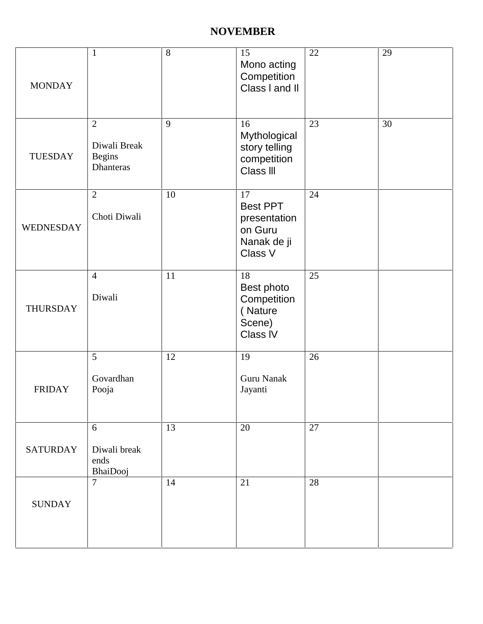#### **NOVEMBER**

| <b>MONDAY</b>    | $\mathbf{1}$                                                 | 8      | 15<br>Mono acting<br>Competition<br>Class I and II                         | 22 | 29 |
|------------------|--------------------------------------------------------------|--------|----------------------------------------------------------------------------|----|----|
| <b>TUESDAY</b>   | $\overline{2}$<br>Diwali Break<br><b>Begins</b><br>Dhanteras | 9      | 16<br>Mythological<br>story telling<br>competition<br>Class III            | 23 | 30 |
| <b>WEDNESDAY</b> | $\overline{2}$<br>Choti Diwali                               | $10\,$ | 17<br><b>Best PPT</b><br>presentation<br>on Guru<br>Nanak de ji<br>Class V | 24 |    |
| <b>THURSDAY</b>  | $\overline{4}$<br>Diwali                                     | 11     | 18<br>Best photo<br>Competition<br>(Nature<br>Scene)<br>Class IV           | 25 |    |
| <b>FRIDAY</b>    | 5<br>Govardhan<br>Pooja                                      | 12     | 19<br><b>Guru Nanak</b><br>Jayanti                                         | 26 |    |
| <b>SATURDAY</b>  | 6<br>Diwali break<br>ends<br>BhaiDooj                        | 13     | 20                                                                         | 27 |    |
| <b>SUNDAY</b>    | $\overline{7}$                                               | 14     | 21                                                                         | 28 |    |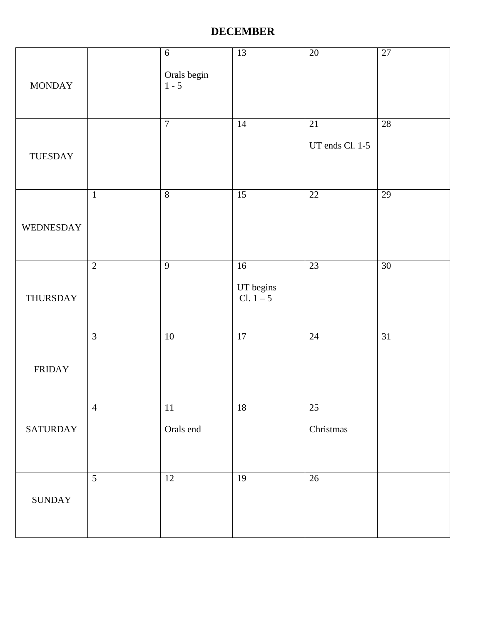#### **DECEMBER**

| <b>MONDAY</b>   |                | $\sqrt{6}$<br>Orals begin<br>$1 - 5$ | 13                           | $20\,$                | $27\,$          |
|-----------------|----------------|--------------------------------------|------------------------------|-----------------------|-----------------|
| TUESDAY         |                | $\boldsymbol{7}$                     | 14                           | 21<br>UT ends Cl. 1-5 | $28\,$          |
| WEDNESDAY       | $\mathbf{1}$   | $8\,$                                | 15                           | $22\,$                | 29              |
| THURSDAY        | $\overline{2}$ | $\mathbf{9}$                         | 16<br>UT begins<br>Cl. $1-5$ | 23                    | $30\,$          |
| <b>FRIDAY</b>   | $\mathfrak{Z}$ | $10\,$                               | 17                           | $24\,$                | $\overline{31}$ |
| <b>SATURDAY</b> | $\overline{4}$ | $11\,$<br>Orals end                  | $18\,$                       | $25\,$<br>Christmas   |                 |
| <b>SUNDAY</b>   | 5              | $12\,$                               | 19                           | $26\,$                |                 |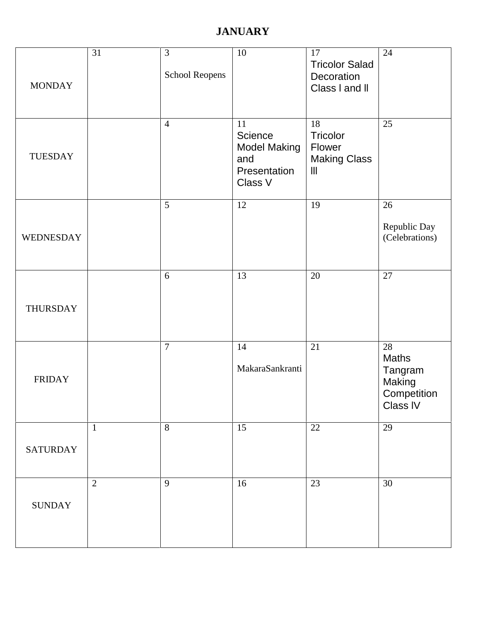### **JANUARY**

| <b>MONDAY</b>   | 31             | 3<br>School Reopens | $10\,$                                                                 | 17<br><b>Tricolor Salad</b><br>Decoration<br>Class I and II | 24                                                          |
|-----------------|----------------|---------------------|------------------------------------------------------------------------|-------------------------------------------------------------|-------------------------------------------------------------|
| TUESDAY         |                | $\overline{4}$      | 11<br>Science<br><b>Model Making</b><br>and<br>Presentation<br>Class V | 18<br>Tricolor<br>Flower<br><b>Making Class</b><br>Ш        | 25                                                          |
| WEDNESDAY       |                | $5\overline{)}$     | 12                                                                     | 19                                                          | 26<br>Republic Day<br>(Celebrations)                        |
| THURSDAY        |                | 6                   | 13                                                                     | 20                                                          | 27                                                          |
| <b>FRIDAY</b>   |                | $\overline{7}$      | 14<br>MakaraSankranti                                                  | 21                                                          | 28<br>Maths<br>Tangram<br>Making<br>Competition<br>Class IV |
| <b>SATURDAY</b> | $\mathbf{1}$   | 8                   | 15                                                                     | 22                                                          | 29                                                          |
| <b>SUNDAY</b>   | $\overline{2}$ | 9                   | 16                                                                     | 23                                                          | 30                                                          |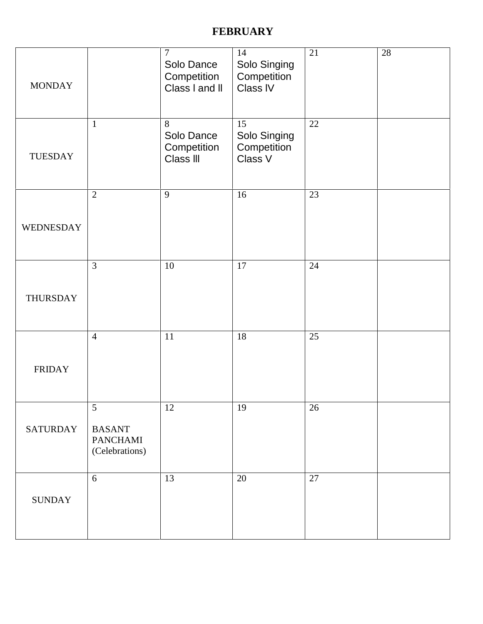#### **FEBRUARY**

| <b>MONDAY</b>    |                                                         | $\tau$<br>Solo Dance<br>Competition<br>Class I and II | 14<br>Solo Singing<br>Competition<br>Class IV | 21 | $28\,$ |
|------------------|---------------------------------------------------------|-------------------------------------------------------|-----------------------------------------------|----|--------|
| <b>TUESDAY</b>   | $\mathbf{1}$                                            | 8<br>Solo Dance<br>Competition<br>Class III           | 15<br>Solo Singing<br>Competition<br>Class V  | 22 |        |
| <b>WEDNESDAY</b> | $\mathbf{2}$                                            | 9                                                     | 16                                            | 23 |        |
| THURSDAY         | 3                                                       | 10                                                    | 17                                            | 24 |        |
| <b>FRIDAY</b>    | $\overline{4}$                                          | 11                                                    | $18\,$                                        | 25 |        |
| <b>SATURDAY</b>  | 5<br><b>BASANT</b><br><b>PANCHAMI</b><br>(Celebrations) | 12                                                    | 19                                            | 26 |        |
| <b>SUNDAY</b>    | 6                                                       | 13                                                    | 20                                            | 27 |        |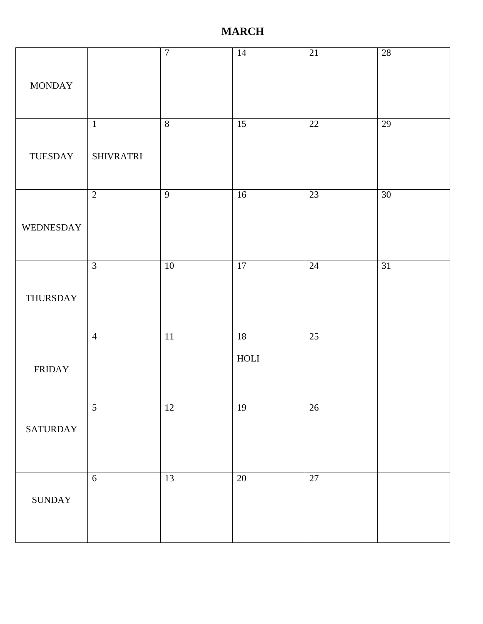#### **MARCH**

| <b>MONDAY</b>   |                                  | $\boldsymbol{7}$ | 14                          | 21     | 28              |
|-----------------|----------------------------------|------------------|-----------------------------|--------|-----------------|
| TUESDAY         | $\mathbf{1}$<br><b>SHIVRATRI</b> | $\, 8$           | 15                          | 22     | $29\,$          |
| WEDNESDAY       | $\sqrt{2}$                       | $\overline{9}$   | 16                          | 23     | $\overline{30}$ |
| THURSDAY        | $\mathfrak{Z}$                   | $10\,$           | 17                          | $24\,$ | $\overline{31}$ |
| <b>FRIDAY</b>   | $\overline{4}$                   | $11\,$           | 18<br>$\operatorname{HOLI}$ | $25\,$ |                 |
| <b>SATURDAY</b> | $\mathfrak{S}$                   | $12\,$           | 19                          | $26\,$ |                 |
| <b>SUNDAY</b>   | $\sqrt{6}$                       | 13               | $20\,$                      | $27\,$ |                 |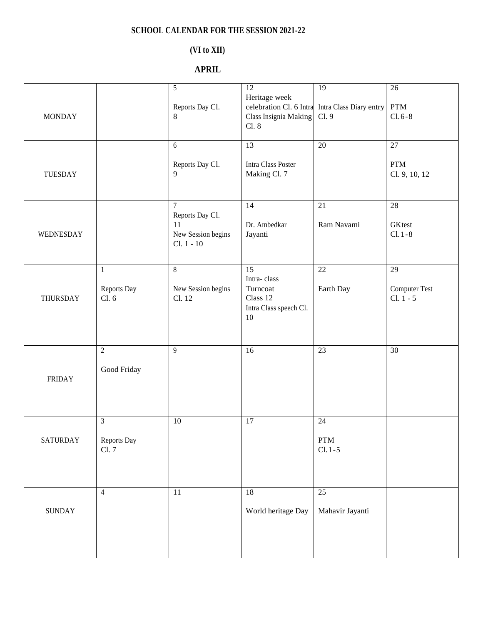#### **SCHOOL CALENDAR FOR THE SESSION 2021-22**

#### **(VI to XII)**

#### **APRIL**

| <b>MONDAY</b>   |                                        | 5<br>Reports Day Cl.<br>8                                             | 12<br>Heritage week<br>celebration Cl. 6 Intra<br>Class Insignia Making<br>Cl. 8 | 19<br>Intra Class Diary entry<br>Cl. 9 | 26<br>$\bold{PTM}$<br>$Cl.6 - 8$          |
|-----------------|----------------------------------------|-----------------------------------------------------------------------|----------------------------------------------------------------------------------|----------------------------------------|-------------------------------------------|
| TUESDAY         |                                        | 6<br>Reports Day Cl.<br>9                                             | 13<br>Intra Class Poster<br>Making Cl. 7                                         | 20                                     | 27<br><b>PTM</b><br>Cl. 9, 10, 12         |
| WEDNESDAY       |                                        | $\tau$<br>Reports Day Cl.<br>11<br>New Session begins<br>$Cl. 1 - 10$ | 14<br>Dr. Ambedkar<br>Jayanti                                                    | $21\,$<br>Ram Navami                   | 28<br>GKtest<br>$Cl.1 - 8$                |
| <b>THURSDAY</b> | $\mathbf{1}$<br>Reports Day<br>Cl. 6   | $\,8\,$<br>New Session begins<br>Cl. 12                               | 15<br>Intra-class<br>Turncoat<br>Class 12<br>Intra Class speech Cl.<br>$10\,$    | 22<br>Earth Day                        | 29<br><b>Computer Test</b><br>$Cl. 1 - 5$ |
| <b>FRIDAY</b>   | $\overline{2}$<br>Good Friday          | 9                                                                     | 16                                                                               | $\overline{23}$                        | $\overline{30}$                           |
| <b>SATURDAY</b> | $\mathfrak{Z}$<br>Reports Day<br>Cl. 7 | $10\,$                                                                | 17                                                                               | 24<br>${\rm PTM}$<br>$Cl. 1 - 5$       |                                           |
| <b>SUNDAY</b>   | $\overline{4}$                         | 11                                                                    | 18<br>World heritage Day                                                         | 25<br>Mahavir Jayanti                  |                                           |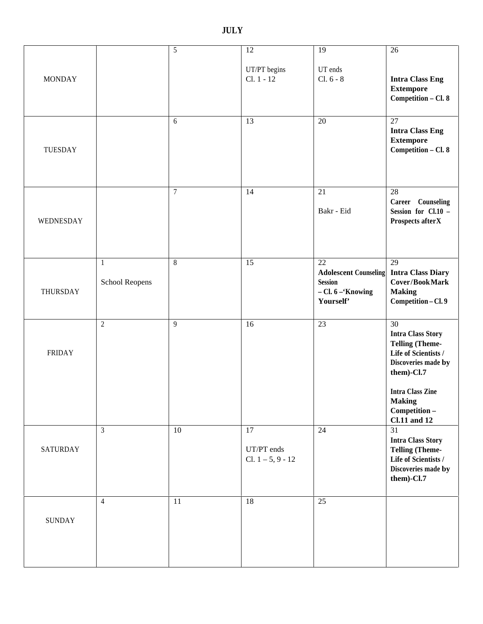**MONDAY** 5 12 UT/PT begins Cl. 1 - 12 19 UT ends Cl. 6 - 8 26 **Intra Class Eng Extempore Competition – Cl. 8** TUESDAY 6 13 20 27 **Intra Class Eng Extempore Competition – Cl. 8** WEDNESDAY  $\begin{array}{|c|c|c|c|c|}\n\hline\n14 & 21 \\
\hline\n\end{array}$ Bakr - Eid 28 **Career Counseling Session for Cl.10 – Prospects afterX** THURSDAY 1 School Reopens 8 15 22 **Adolescent Counseling Session – Cl. 6 –'Knowing Yourself'** 29 **Intra Class Diary Cover/BookMark Making Competition – Cl. 9** FRIDAY 2 9 16 23 30 **Intra Class Story Telling (Theme- Life of Scientists / Discoveries made by them)-Cl.7 Intra Class Zine Making Competition – Cl.11 and 12** SATURDAY 3  $\vert$  10  $\vert$  17 UT/PT ends Cl.  $1 - 5, 9 - 12$ 24 31 **Intra Class Story Telling (Theme- Life of Scientists / Discoveries made by them)-Cl.7** SUNDAY 4 11 18 25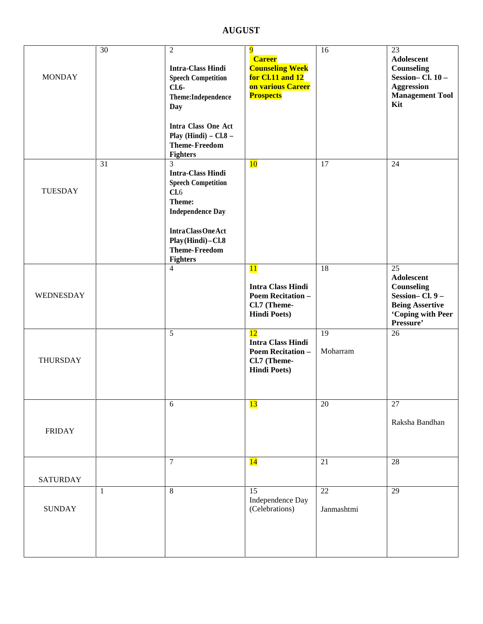**AUGUST**

| <b>MONDAY</b>    | 30 | $\mathfrak{2}$<br><b>Intra-Class Hindi</b><br><b>Speech Competition</b><br>$Cl.6-$<br>Theme:Independence<br>Day<br>Intra Class One Act<br>Play (Hindi) $-$ Cl.8 $-$<br><b>Theme-Freedom</b><br><b>Fighters</b> | 9<br><b>Career</b><br><b>Counseling Week</b><br>for Cl.11 and 12<br>on various Career<br><b>Prospects</b> | 16                            | 23<br>Adolescent<br>Counseling<br>Session-Cl. 10-<br><b>Aggression</b><br><b>Management Tool</b><br>Kit                          |
|------------------|----|----------------------------------------------------------------------------------------------------------------------------------------------------------------------------------------------------------------|-----------------------------------------------------------------------------------------------------------|-------------------------------|----------------------------------------------------------------------------------------------------------------------------------|
| <b>TUESDAY</b>   | 31 | 3<br><b>Intra-Class Hindi</b><br><b>Speech Competition</b><br>Cl.6<br>Theme:<br><b>Independence Day</b><br><b>IntraClassOneAct</b><br>Play (Hindi)-Cl.8<br><b>Theme-Freedom</b><br><b>Fighters</b>             | 10                                                                                                        | 17                            | 24                                                                                                                               |
| <b>WEDNESDAY</b> |    | $\overline{4}$                                                                                                                                                                                                 | <b>11</b><br><b>Intra Class Hindi</b><br><b>Poem Recitation -</b><br>Cl.7 (Theme-<br><b>Hindi Poets)</b>  | 18                            | $\overline{25}$<br><b>Adolescent</b><br>Counseling<br>Session-Cl. 9-<br><b>Being Assertive</b><br>'Coping with Peer<br>Pressure' |
| THURSDAY         |    | 5                                                                                                                                                                                                              | 12<br><b>Intra Class Hindi</b><br><b>Poem Recitation -</b><br>Cl.7 (Theme-<br><b>Hindi Poets)</b>         | 19<br>Moharram                | 26                                                                                                                               |
| <b>FRIDAY</b>    |    | 6                                                                                                                                                                                                              | 13                                                                                                        | 20                            | 27<br>Raksha Bandhan                                                                                                             |
| <b>SATURDAY</b>  |    | $\overline{7}$                                                                                                                                                                                                 | 14                                                                                                        | 21                            | 28                                                                                                                               |
| <b>SUNDAY</b>    | -1 | $\overline{8}$                                                                                                                                                                                                 | $\overline{15}$<br>Independence Day<br>(Celebrations)                                                     | $\overline{22}$<br>Janmashtmi | $\overline{29}$                                                                                                                  |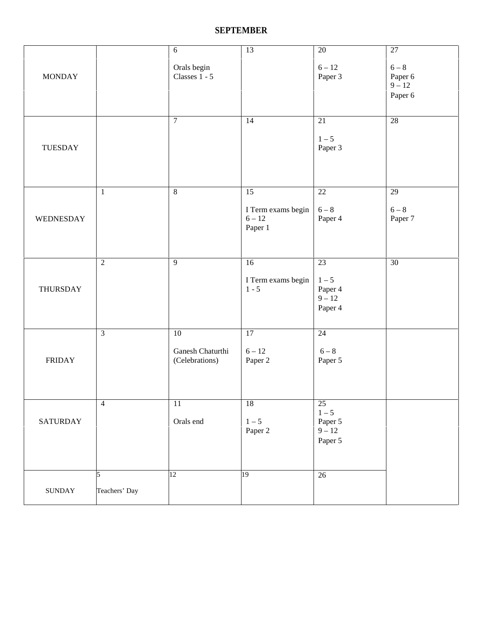#### **SEPTEMBER**

| <b>MONDAY</b>           |                    | $6\,$<br>Orals begin<br>Classes $1 - 5$      | $\overline{13}$                                 | $20\,$<br>$6 - 12$<br>Paper 3                              | $\overline{27}$<br>$6-8$<br>Paper 6<br>$9 - 12$<br>Paper 6 |
|-------------------------|--------------------|----------------------------------------------|-------------------------------------------------|------------------------------------------------------------|------------------------------------------------------------|
| <b>TUESDAY</b>          |                    | $\boldsymbol{7}$                             | 14                                              | $21\,$<br>$1 - 5$<br>Paper 3                               | 28                                                         |
| WEDNESDAY               | $\mathbf{1}$       | $\,8\,$                                      | 15<br>I Term exams begin<br>$6 - 12$<br>Paper 1 | 22<br>$6-8$<br>Paper 4                                     | 29<br>$6-8$<br>Paper 7                                     |
| THURSDAY                | $\overline{2}$     | 9                                            | 16<br>I Term exams begin<br>$1 - 5$             | 23<br>$1 - 5$<br>Paper 4<br>$9 - 12$<br>Paper 4            | 30                                                         |
| <b>FRIDAY</b>           | $\overline{3}$     | $10\,$<br>Ganesh Chaturthi<br>(Celebrations) | 17<br>$6 - 12$<br>Paper 2                       | 24<br>$6-8$<br>Paper 5                                     |                                                            |
| <b>SATURDAY</b>         | $\overline{4}$     | 11<br>Orals end                              | 18<br>$1 - 5$<br>Paper 2                        | $\overline{25}$<br>$1-5$<br>Paper 5<br>$9 - 12$<br>Paper 5 |                                                            |
| $\operatorname{SUNDAY}$ | 5<br>Teachers' Day | 12                                           | 19                                              | $26\,$                                                     |                                                            |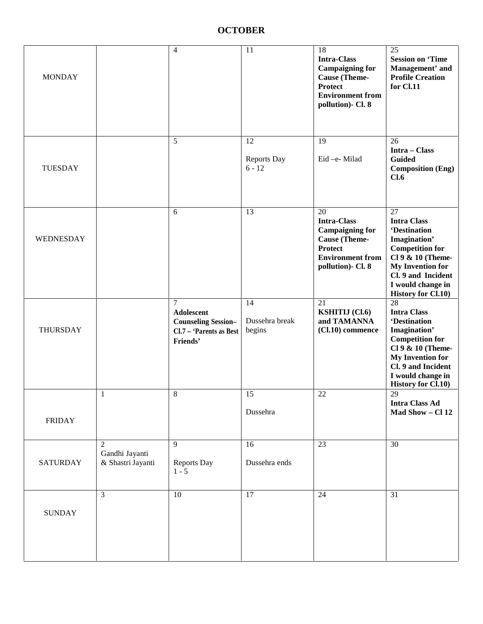#### **OCTOBER**

| <b>MONDAY</b>    |                                                       | $\overline{4}$                                                                            | 11                             | 18<br><b>Intra-Class</b><br><b>Campaigning for</b><br><b>Cause</b> (Theme-<br><b>Protect</b><br><b>Environment from</b><br>pollution)- Cl. 8 | 25<br><b>Session on 'Time</b><br>Management' and<br><b>Profile Creation</b><br>for Cl.11                                                                                                                                       |
|------------------|-------------------------------------------------------|-------------------------------------------------------------------------------------------|--------------------------------|----------------------------------------------------------------------------------------------------------------------------------------------|--------------------------------------------------------------------------------------------------------------------------------------------------------------------------------------------------------------------------------|
| <b>TUESDAY</b>   |                                                       | 5                                                                                         | 12<br>Reports Day<br>$6 - 12$  | 19<br>Eid-e-Milad                                                                                                                            | 26<br>Intra - Class<br><b>Guided</b><br><b>Composition (Eng)</b><br>Cl.6                                                                                                                                                       |
| <b>WEDNESDAY</b> |                                                       | 6                                                                                         | 13                             | 20<br><b>Intra-Class</b><br><b>Campaigning for</b><br><b>Cause</b> (Theme-<br><b>Protect</b><br><b>Environment from</b><br>pollution)- Cl. 8 | 27<br><b>Intra Class</b><br><b>'Destination</b><br>Imagination'<br><b>Competition for</b><br>Cl 9 & 10 (Theme-<br><b>My Invention for</b><br>Cl. 9 and Incident<br>I would change in<br><b>History for Cl.10)</b>              |
| THURSDAY         |                                                       | $\tau$<br>Adolescent<br><b>Counseling Session-</b><br>Cl.7 - 'Parents as Best<br>Friends' | 14<br>Dussehra break<br>begins | 21<br><b>KSHITIJ</b> (Cl.6)<br>and TAMANNA<br>$(Cl.10)$ commence                                                                             | $\overline{28}$<br><b>Intra Class</b><br><b>'Destination</b><br>Imagination'<br><b>Competition for</b><br>Cl 9 & 10 (Theme-<br><b>My Invention for</b><br>Cl. 9 and Incident<br>I would change in<br><b>History for Cl.10)</b> |
| <b>FRIDAY</b>    | 1                                                     | 8                                                                                         | 15<br>Dussehra                 | 22                                                                                                                                           | 29<br><b>Intra Class Ad</b><br>Mad Show - Cl 12                                                                                                                                                                                |
| <b>SATURDAY</b>  | $\overline{2}$<br>Gandhi Jayanti<br>& Shastri Jayanti | 9<br><b>Reports Day</b><br>$1 - 5$                                                        | 16<br>Dussehra ends            | 23                                                                                                                                           | 30                                                                                                                                                                                                                             |
| <b>SUNDAY</b>    | $\overline{3}$                                        | 10                                                                                        | 17                             | 24                                                                                                                                           | 31                                                                                                                                                                                                                             |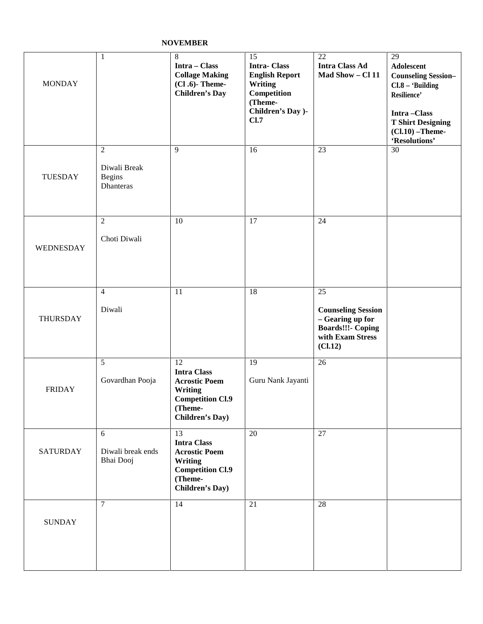#### **NOVEMBER**

| <b>MONDAY</b>   | 1                                                            | $8\,$<br>Intra - Class<br><b>Collage Making</b><br>$(Cl.6)$ - Theme-<br><b>Children's Day</b>                                       | 15<br><b>Intra-Class</b><br><b>English Report</b><br>Writing<br>Competition<br>(Theme-<br>Children's Day )-<br>Cl.7 | 22<br><b>Intra Class Ad</b><br>Mad Show - Cl 11                                                                | 29<br>Adolescent<br><b>Counseling Session-</b><br>$Cl.8 - 'Building$<br>Resilience'<br>Intra-Class<br><b>T Shirt Designing</b><br>$(Cl.10)$ -Theme-<br>'Resolutions' |
|-----------------|--------------------------------------------------------------|-------------------------------------------------------------------------------------------------------------------------------------|---------------------------------------------------------------------------------------------------------------------|----------------------------------------------------------------------------------------------------------------|----------------------------------------------------------------------------------------------------------------------------------------------------------------------|
| <b>TUESDAY</b>  | $\overline{2}$<br>Diwali Break<br><b>Begins</b><br>Dhanteras | 9                                                                                                                                   | 16                                                                                                                  | 23                                                                                                             | 30                                                                                                                                                                   |
| WEDNESDAY       | $\overline{2}$<br>Choti Diwali                               | 10                                                                                                                                  | 17                                                                                                                  | 24                                                                                                             |                                                                                                                                                                      |
| THURSDAY        | $\overline{4}$<br>Diwali                                     | 11                                                                                                                                  | 18                                                                                                                  | 25<br><b>Counseling Session</b><br>- Gearing up for<br><b>Boards!!!- Coping</b><br>with Exam Stress<br>(C1.12) |                                                                                                                                                                      |
| <b>FRIDAY</b>   | 5<br>Govardhan Pooja                                         | 12<br><b>Intra Class</b><br><b>Acrostic Poem</b><br>Writing<br><b>Competition Cl.9</b><br>(Theme-<br><b>Children's Day</b> )        | 19<br>Guru Nank Jayanti                                                                                             | 26                                                                                                             |                                                                                                                                                                      |
| <b>SATURDAY</b> | 6<br>Diwali break ends<br>Bhai Dooj                          | 13<br><b>Intra Class</b><br><b>Acrostic Poem</b><br><b>Writing</b><br><b>Competition Cl.9</b><br>(Theme-<br><b>Children's Day</b> ) | 20                                                                                                                  | 27                                                                                                             |                                                                                                                                                                      |
| <b>SUNDAY</b>   | $\overline{7}$                                               | 14                                                                                                                                  | 21                                                                                                                  | 28                                                                                                             |                                                                                                                                                                      |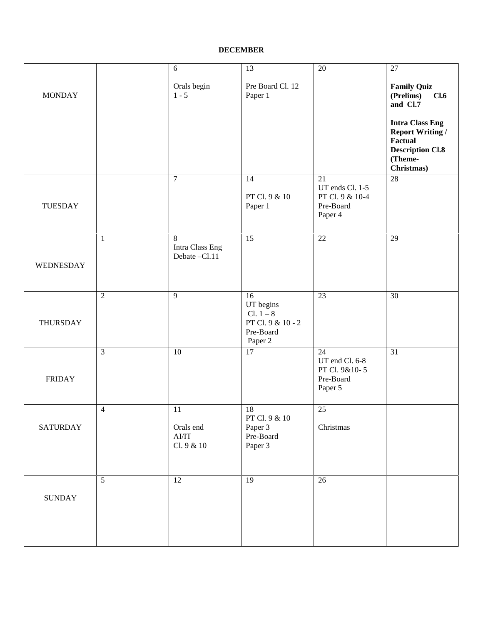#### **DECEMBER**

|                                                |                                                                  |                                                                  | 27                                                                                                               |
|------------------------------------------------|------------------------------------------------------------------|------------------------------------------------------------------|------------------------------------------------------------------------------------------------------------------|
| Orals begin<br>$1 - 5$                         | Pre Board Cl. 12<br>Paper 1                                      |                                                                  | <b>Family Quiz</b><br>(Prelims)<br>Cl.6<br>and Cl.7                                                              |
|                                                |                                                                  |                                                                  | <b>Intra Class Eng</b><br><b>Report Writing /</b><br>Factual<br><b>Description Cl.8</b><br>(Theme-<br>Christmas) |
| $\tau$                                         | 14<br>PT Cl. 9 & 10<br>Paper 1                                   | 21<br>UT ends Cl. 1-5<br>PT Cl. 9 & 10-4<br>Pre-Board<br>Paper 4 | $28\,$                                                                                                           |
| 8<br>Intra Class Eng<br>Debate -Cl.11          | $\overline{15}$                                                  | $\overline{22}$                                                  | $\overline{29}$                                                                                                  |
| 9                                              | 16<br>UT begins<br>$Cl. 1 - 8$<br>PT Cl. 9 & 10 - 2<br>Pre-Board | 23                                                               | 30                                                                                                               |
| 10                                             | 17                                                               | 24<br>UT end Cl. 6-8<br>PT Cl. 9&10-5<br>Pre-Board<br>Paper 5    | 31                                                                                                               |
| 11<br>Orals end<br>${\rm Al/IT}$<br>Cl. 9 & 10 | 18<br>PT Cl. 9 & 10<br>Paper 3<br>Pre-Board<br>Paper 3           | 25<br>Christmas                                                  |                                                                                                                  |
| $\overline{12}$                                | 19                                                               | $\overline{26}$                                                  |                                                                                                                  |
|                                                |                                                                  | Paper 2                                                          |                                                                                                                  |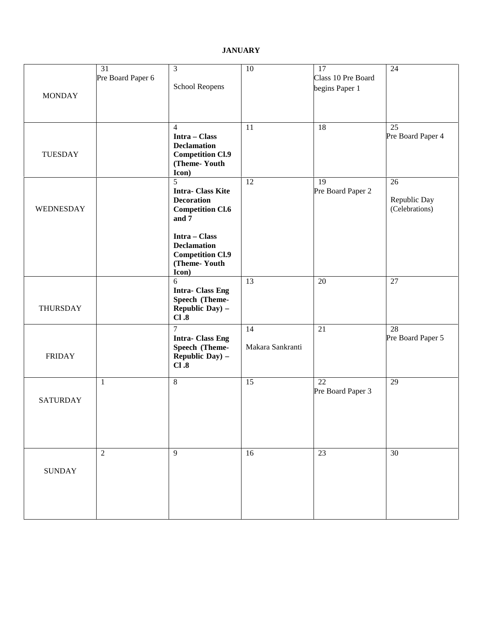#### **JANUARY**

| <b>MONDAY</b>   | 31<br>Pre Board Paper 6 | $\mathfrak{Z}$<br>School Reopens                                                             | 10                     | 17<br>Class 10 Pre Board<br>begins Paper 1 | 24                                   |
|-----------------|-------------------------|----------------------------------------------------------------------------------------------|------------------------|--------------------------------------------|--------------------------------------|
| <b>TUESDAY</b>  |                         | 4<br>Intra - Class<br><b>Declamation</b><br><b>Competition Cl.9</b><br>(Theme-Youth<br>Icon) | 11                     | 18                                         | $\overline{25}$<br>Pre Board Paper 4 |
| WEDNESDAY       |                         | 5<br><b>Intra-Class Kite</b><br><b>Decoration</b><br><b>Competition Cl.6</b><br>and 7        | 12                     | 19<br>Pre Board Paper 2                    | 26<br>Republic Day<br>(Celebrations) |
|                 |                         | Intra - Class<br><b>Declamation</b><br><b>Competition Cl.9</b><br>(Theme-Youth<br>Icon)      |                        |                                            |                                      |
| THURSDAY        |                         | 6<br><b>Intra-Class Eng</b><br>Speech (Theme-<br>Republic Day) -<br>Cl.8                     | 13                     | 20                                         | 27                                   |
| <b>FRIDAY</b>   |                         | $\overline{7}$<br><b>Intra-Class Eng</b><br>Speech (Theme-<br>Republic Day) -<br>Cl.8        | 14<br>Makara Sankranti | 21                                         | 28<br>Pre Board Paper 5              |
| <b>SATURDAY</b> | $\mathbf{1}$            | $\,8\,$                                                                                      | 15                     | $\overline{22}$<br>Pre Board Paper 3       | 29                                   |
| <b>SUNDAY</b>   | $\overline{2}$          | 9                                                                                            | 16                     | 23                                         | 30                                   |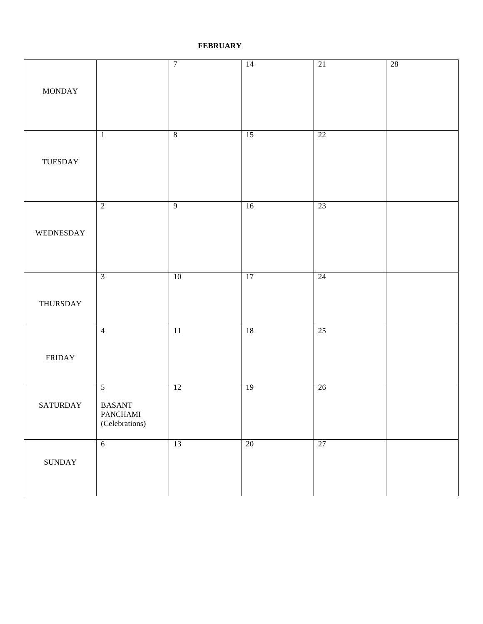#### **FEBRUARY**

|                                |                                     | $\overline{7}$  | $\overline{14}$ | 21              | $28\,$ |
|--------------------------------|-------------------------------------|-----------------|-----------------|-----------------|--------|
|                                |                                     |                 |                 |                 |        |
| <b>MONDAY</b>                  |                                     |                 |                 |                 |        |
|                                |                                     |                 |                 |                 |        |
|                                | $\mathbf{1}$                        | $\sqrt{8}$      | $\overline{15}$ | $\overline{22}$ |        |
|                                |                                     |                 |                 |                 |        |
| TUESDAY                        |                                     |                 |                 |                 |        |
|                                |                                     |                 |                 |                 |        |
|                                |                                     |                 |                 |                 |        |
|                                | $\overline{2}$                      | $\overline{9}$  | $\overline{16}$ | 23              |        |
| WEDNESDAY                      |                                     |                 |                 |                 |        |
|                                |                                     |                 |                 |                 |        |
|                                |                                     |                 |                 |                 |        |
|                                | $\overline{3}$                      | $10\,$          | $\overline{17}$ | $\overline{24}$ |        |
|                                |                                     |                 |                 |                 |        |
| THURSDAY                       |                                     |                 |                 |                 |        |
|                                | $\overline{4}$                      | $\overline{11}$ | 18              | 25              |        |
|                                |                                     |                 |                 |                 |        |
| $\ensuremath{\mathsf{FRIDAY}}$ |                                     |                 |                 |                 |        |
|                                |                                     |                 |                 |                 |        |
|                                | $\overline{5}$                      | $\overline{12}$ | $\overline{19}$ | $\overline{26}$ |        |
| <b>SATURDAY</b>                | $\operatorname{BASANT}$<br>PANCHAMI |                 |                 |                 |        |
|                                | (Celebrations)                      |                 |                 |                 |        |
|                                | $6\phantom{.}6$                     | 13              | 20              | 27              |        |
| $\operatorname{SUNDAY}$        |                                     |                 |                 |                 |        |
|                                |                                     |                 |                 |                 |        |
|                                |                                     |                 |                 |                 |        |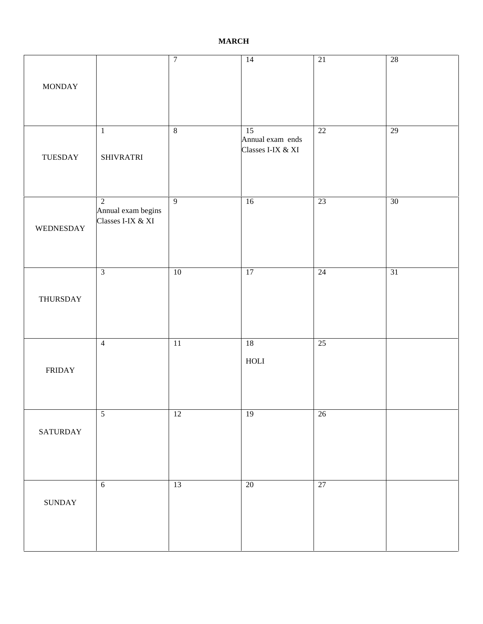#### **MARCH**

| <b>MONDAY</b> |                                                           | $\overline{7}$  | $\overline{14}$                             | $\overline{21}$ | $28\,$ |
|---------------|-----------------------------------------------------------|-----------------|---------------------------------------------|-----------------|--------|
| TUESDAY       | $\mathbf{1}$<br><b>SHIVRATRI</b>                          | $\overline{8}$  | 15<br>Annual exam ends<br>Classes I-IX & XI | 22              | 29     |
| WEDNESDAY     | $\overline{2}$<br>Annual exam begins<br>Classes I-IX & XI | $\overline{9}$  | $\overline{16}$                             | 23              | 30     |
| THURSDAY      | $\mathfrak{Z}$                                            | $10\,$          | $17\,$                                      | 24              | $31\,$ |
| <b>FRIDAY</b> | $\overline{4}$                                            | $\overline{11}$ | $18$<br>$_{\rm HOLI}$                       | 25              |        |
| SATURDAY      | $\overline{5}$                                            | 12              | $\overline{19}$                             | $\overline{26}$ |        |
| <b>SUNDAY</b> | $\sqrt{6}$                                                | $\overline{13}$ | $\overline{20}$                             | 27              |        |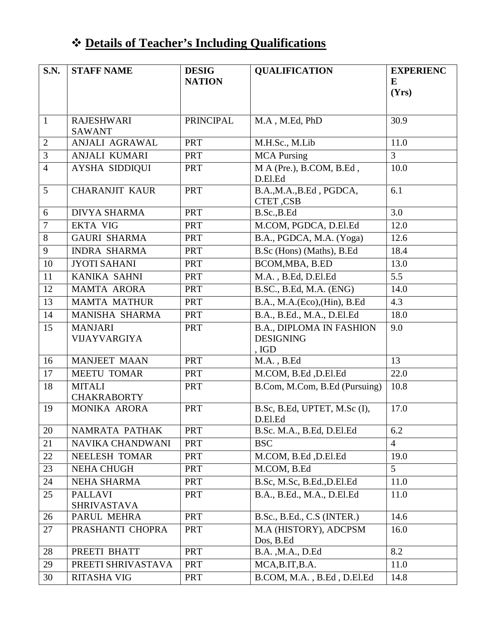## **Details of Teacher's Including Qualifications**

| S.N.                | <b>STAFF NAME</b>                              | <b>DESIG</b><br><b>NATION</b> | <b>OUALIFICATION</b>                                            | <b>EXPERIENC</b><br>E<br>(Yrs) |
|---------------------|------------------------------------------------|-------------------------------|-----------------------------------------------------------------|--------------------------------|
| $\mathbf{1}$        | <b>RAJESHWARI</b><br><b>SAWANT</b>             | <b>PRINCIPAL</b>              | M.A, M.Ed, PhD                                                  | 30.9                           |
| $\overline{2}$      | ANJALI AGRAWAL                                 | <b>PRT</b>                    | M.H.Sc., M.Lib                                                  | 11.0                           |
| 3                   | ANJALI KUMARI                                  | PRT                           | <b>MCA Pursing</b>                                              | $\overline{3}$                 |
| $\overline{4}$<br>5 | <b>AYSHA SIDDIQUI</b><br><b>CHARANJIT KAUR</b> | <b>PRT</b><br><b>PRT</b>      | M A (Pre.), B.COM, B.Ed,<br>D.El.Ed<br>B.A., M.A., B.Ed, PGDCA, | 10.0<br>6.1                    |
|                     |                                                |                               | CTET, CSB                                                       |                                |
| 6                   | <b>DIVYA SHARMA</b>                            | <b>PRT</b>                    | B.Sc., B.Ed                                                     | 3.0                            |
| $\boldsymbol{7}$    | <b>EKTA VIG</b>                                | <b>PRT</b>                    | M.COM, PGDCA, D.El.Ed                                           | 12.0                           |
| 8<br>9              | <b>GAURI SHARMA</b>                            | <b>PRT</b>                    | B.A., PGDCA, M.A. (Yoga)                                        | 12.6                           |
|                     | <b>INDRA SHARMA</b>                            | <b>PRT</b>                    | B.Sc (Hons) (Maths), B.Ed                                       | 18.4                           |
| 10                  | <b>JYOTI SAHANI</b>                            | <b>PRT</b>                    | BCOM, MBA, B.ED                                                 | 13.0                           |
| 11                  | <b>KANIKA SAHNI</b>                            | <b>PRT</b>                    | M.A., B.Ed, D.El.Ed<br>B.SC., B.Ed, M.A. (ENG)                  | 5.5                            |
| 12                  | <b>MAMTA ARORA</b>                             | <b>PRT</b>                    |                                                                 | 14.0                           |
| 13                  | <b>MAMTA MATHUR</b>                            | <b>PRT</b>                    | B.A., M.A.(Eco), (Hin), B.Ed                                    | 4.3                            |
| 14                  | MANISHA SHARMA                                 | <b>PRT</b>                    | B.A., B.Ed., M.A., D.El.Ed                                      | 18.0                           |
| 15                  | <b>MANJARI</b><br>VIJAYVARGIYA                 | <b>PRT</b>                    | <b>B.A., DIPLOMA IN FASHION</b><br><b>DESIGNING</b><br>, IGD    | 9.0                            |
| 16                  | <b>MANJEET MAAN</b>                            | <b>PRT</b>                    | $M.A.$ , $B.Ed$                                                 | 13                             |
| 17                  | <b>MEETU TOMAR</b>                             | <b>PRT</b>                    | M.COM, B.Ed, D.El.Ed                                            | 22.0                           |
| 18                  | <b>MITALI</b><br><b>CHAKRABORTY</b>            | <b>PRT</b>                    | B.Com, M.Com, B.Ed (Pursuing)                                   | 10.8                           |
| 19                  | MONIKA ARORA                                   | <b>PRT</b>                    | B.Sc, B.Ed, UPTET, M.Sc (I),<br>D.El.Ed                         | 17.0                           |
| 20                  | NAMRATA PATHAK                                 | <b>PRT</b>                    | B.Sc. M.A., B.Ed, D.El.Ed                                       | 6.2                            |
| 21                  | NAVIKA CHANDWANI                               | <b>PRT</b>                    | <b>BSC</b>                                                      | $\overline{4}$                 |
| 22                  | <b>NEELESH TOMAR</b>                           | <b>PRT</b>                    | M.COM, B.Ed, D.El.Ed                                            | 19.0                           |
| 23                  | <b>NEHA CHUGH</b>                              | <b>PRT</b>                    | M.COM, B.Ed                                                     | 5                              |
| 24                  | <b>NEHA SHARMA</b>                             | <b>PRT</b>                    | B.Sc, M.Sc, B.Ed., D.El.Ed                                      | 11.0                           |
| 25                  | <b>PALLAVI</b><br><b>SHRIVASTAVA</b>           | <b>PRT</b>                    | B.A., B.Ed., M.A., D.El.Ed                                      | 11.0                           |
| 26                  | PARUL MEHRA                                    | <b>PRT</b>                    | B.Sc., B.Ed., C.S (INTER.)                                      | 14.6                           |
| 27                  | PRASHANTI CHOPRA                               | <b>PRT</b>                    | M.A (HISTORY), ADCPSM<br>Dos, B.Ed                              | 16.0                           |
| 28                  | PREETI BHATT                                   | <b>PRT</b>                    | B.A., M.A., D.Ed                                                | 8.2                            |
| 29                  | PREETI SHRIVASTAVA                             | <b>PRT</b>                    | MCA, B.IT, B.A.                                                 | 11.0                           |
| 30                  | <b>RITASHA VIG</b>                             | <b>PRT</b>                    | B.COM, M.A., B.Ed, D.El.Ed                                      | 14.8                           |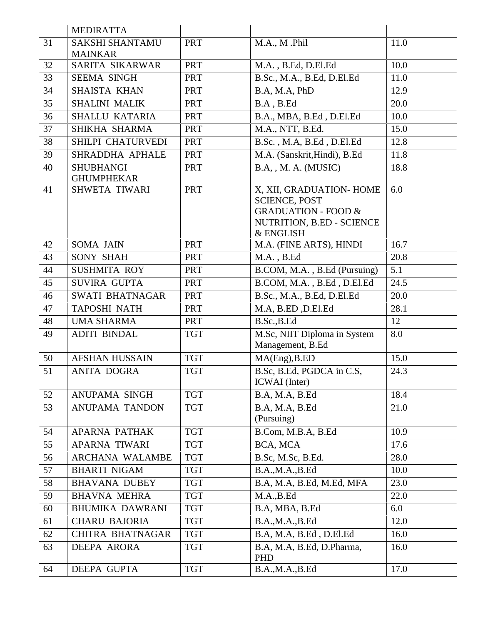|    | <b>MEDIRATTA</b>       |            |                                                        |      |
|----|------------------------|------------|--------------------------------------------------------|------|
| 31 | <b>SAKSHI SHANTAMU</b> | <b>PRT</b> | M.A., M.Phil                                           | 11.0 |
|    | <b>MAINKAR</b>         |            |                                                        |      |
| 32 | SARITA SIKARWAR        | <b>PRT</b> | M.A., B.Ed, D.El.Ed                                    | 10.0 |
| 33 | <b>SEEMA SINGH</b>     | PRT        | B.Sc., M.A., B.Ed, D.El.Ed                             | 11.0 |
| 34 | <b>SHAISTA KHAN</b>    | PRT        | B.A, M.A, PhD                                          | 12.9 |
| 35 | <b>SHALINI MALIK</b>   | <b>PRT</b> | B.A, B.Ed                                              | 20.0 |
| 36 | SHALLU KATARIA         | PRT        | B.A., MBA, B.Ed, D.El.Ed                               | 10.0 |
| 37 | SHIKHA SHARMA          | <b>PRT</b> | M.A., NTT, B.Ed.                                       | 15.0 |
| 38 | SHILPI CHATURVEDI      | <b>PRT</b> | B.Sc., M.A, B.Ed, D.El.Ed                              | 12.8 |
| 39 | SHRADDHA APHALE        | <b>PRT</b> | M.A. (Sanskrit, Hindi), B.Ed                           | 11.8 |
| 40 | <b>SHUBHANGI</b>       | <b>PRT</b> | B.A., M.A. (MUSIC)                                     | 18.8 |
|    | <b>GHUMPHEKAR</b>      |            |                                                        |      |
| 41 | <b>SHWETA TIWARI</b>   | <b>PRT</b> | X, XII, GRADUATION- HOME                               | 6.0  |
|    |                        |            | <b>SCIENCE, POST</b><br><b>GRADUATION - FOOD &amp;</b> |      |
|    |                        |            | NUTRITION, B.ED - SCIENCE                              |      |
|    |                        |            | & ENGLISH                                              |      |
| 42 | <b>SOMA JAIN</b>       | PRT        | M.A. (FINE ARTS), HINDI                                | 16.7 |
| 43 | <b>SONY SHAH</b>       | PRT        | $M.A.$ , $B.Ed$                                        | 20.8 |
| 44 | <b>SUSHMITA ROY</b>    | <b>PRT</b> | B.COM, M.A., B.Ed (Pursuing)                           | 5.1  |
| 45 | <b>SUVIRA GUPTA</b>    | <b>PRT</b> | B.COM, M.A., B.Ed, D.El.Ed                             | 24.5 |
| 46 | <b>SWATI BHATNAGAR</b> | <b>PRT</b> | B.Sc., M.A., B.Ed, D.El.Ed                             | 20.0 |
| 47 | <b>TAPOSHI NATH</b>    | PRT        | M.A, B.ED, D.El.Ed                                     | 28.1 |
| 48 | <b>UMA SHARMA</b>      | <b>PRT</b> | B.Sc., B.Ed                                            | 12   |
| 49 | <b>ADITI BINDAL</b>    | <b>TGT</b> | M.Sc, NIIT Diploma in System                           | 8.0  |
|    |                        |            | Management, B.Ed                                       |      |
| 50 | <b>AFSHAN HUSSAIN</b>  | <b>TGT</b> | MA(Eng), B. ED                                         | 15.0 |
| 51 | <b>ANITA DOGRA</b>     | <b>TGT</b> | B.Sc, B.Ed, PGDCA in C.S,                              | 24.3 |
|    |                        |            | ICWAI (Inter)                                          |      |
| 52 | ANUPAMA SINGH          | <b>TGT</b> | B.A, M.A, B.Ed                                         | 18.4 |
| 53 | <b>ANUPAMA TANDON</b>  | <b>TGT</b> | B.A, M.A, B.Ed                                         | 21.0 |
| 54 | <b>APARNA PATHAK</b>   | <b>TGT</b> | (Pursuing)<br>B.Com, M.B.A, B.Ed                       | 10.9 |
| 55 |                        | <b>TGT</b> |                                                        | 17.6 |
|    | <b>APARNA TIWARI</b>   |            | BCA, MCA                                               |      |
| 56 | <b>ARCHANA WALAMBE</b> | <b>TGT</b> | B.Sc, M.Sc, B.Ed.                                      | 28.0 |
| 57 | <b>BHARTI NIGAM</b>    | <b>TGT</b> | B.A.,M.A.,B.Ed                                         | 10.0 |
| 58 | <b>BHAVANA DUBEY</b>   | <b>TGT</b> | B.A, M.A, B.Ed, M.Ed, MFA                              | 23.0 |
| 59 | <b>BHAVNA MEHRA</b>    | <b>TGT</b> | M.A., B.Ed                                             | 22.0 |
| 60 | <b>BHUMIKA DAWRANI</b> | <b>TGT</b> | B.A, MBA, B.Ed                                         | 6.0  |
| 61 | <b>CHARU BAJORIA</b>   | <b>TGT</b> | B.A.,M.A.,B.Ed                                         | 12.0 |
| 62 | CHITRA BHATNAGAR       | <b>TGT</b> | B.A, M.A, B.Ed, D.El.Ed                                | 16.0 |
| 63 | <b>DEEPA ARORA</b>     | <b>TGT</b> | B.A, M.A, B.Ed, D.Pharma,<br>PHD                       | 16.0 |
| 64 | DEEPA GUPTA            | <b>TGT</b> | B.A., M.A., B.Ed                                       | 17.0 |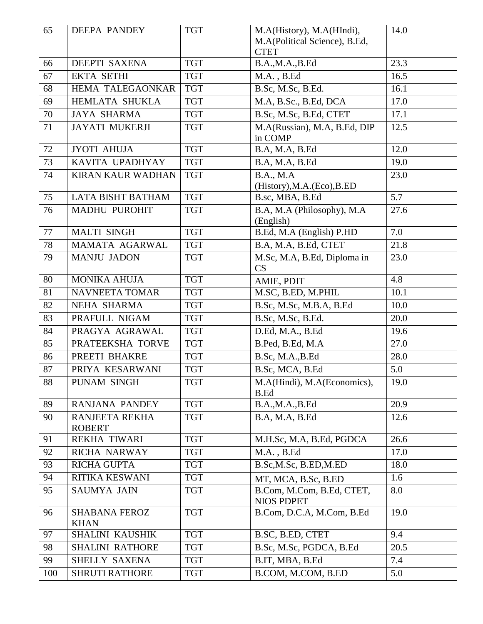| 65  | <b>DEEPA PANDEY</b>                 | <b>TGT</b> | M.A(History), M.A(HIndi),<br>M.A(Political Science), B.Ed,<br><b>CTET</b> | 14.0 |
|-----|-------------------------------------|------------|---------------------------------------------------------------------------|------|
| 66  | DEEPTI SAXENA                       | <b>TGT</b> | B.A.,M.A.,B.Ed                                                            | 23.3 |
| 67  | <b>EKTA SETHI</b>                   | <b>TGT</b> | $M.A.$ , $B.Ed$                                                           | 16.5 |
| 68  | HEMA TALEGAONKAR                    | <b>TGT</b> | B.Sc, M.Sc, B.Ed.                                                         | 16.1 |
| 69  | HEMLATA SHUKLA                      | <b>TGT</b> | M.A, B.Sc., B.Ed, DCA                                                     | 17.0 |
| 70  | <b>JAYA SHARMA</b>                  | <b>TGT</b> | B.Sc, M.Sc, B.Ed, CTET                                                    | 17.1 |
| 71  | <b>JAYATI MUKERJI</b>               | <b>TGT</b> | M.A(Russian), M.A, B.Ed, DIP<br>in COMP                                   | 12.5 |
| 72  | <b>JYOTI AHUJA</b>                  | <b>TGT</b> | B.A, M.A, B.Ed                                                            | 12.0 |
| 73  | KAVITA UPADHYAY                     | <b>TGT</b> | B.A, M.A, B.Ed                                                            | 19.0 |
| 74  | <b>KIRAN KAUR WADHAN</b>            | <b>TGT</b> | <b>B.A., M.A</b><br>(History), M.A. (Eco), B.ED                           | 23.0 |
| 75  | <b>LATA BISHT BATHAM</b>            | <b>TGT</b> | B.sc, MBA, B.Ed                                                           | 5.7  |
| 76  | <b>MADHU PUROHIT</b>                | <b>TGT</b> | B.A, M.A (Philosophy), M.A<br>(English)                                   | 27.6 |
| 77  | <b>MALTI SINGH</b>                  | <b>TGT</b> | B.Ed, M.A (English) P.HD                                                  | 7.0  |
| 78  | MAMATA AGARWAL                      | <b>TGT</b> | B.A, M.A, B.Ed, CTET                                                      | 21.8 |
| 79  | <b>MANJU JADON</b>                  | <b>TGT</b> | M.Sc, M.A, B.Ed, Diploma in<br>CS                                         | 23.0 |
| 80  | <b>MONIKA AHUJA</b>                 | <b>TGT</b> | AMIE, PDIT                                                                | 4.8  |
| 81  | <b>NAVNEETA TOMAR</b>               | <b>TGT</b> | M.SC, B.ED, M.PHIL                                                        | 10.1 |
| 82  | NEHA SHARMA                         | <b>TGT</b> | B.Sc, M.Sc, M.B.A, B.Ed                                                   | 10.0 |
| 83  | PRAFULL NIGAM                       | <b>TGT</b> | B.Sc, M.Sc, B.Ed.                                                         | 20.0 |
| 84  | PRAGYA AGRAWAL                      | <b>TGT</b> | D.Ed, M.A., B.Ed                                                          | 19.6 |
| 85  | PRATEEKSHA TORVE                    | <b>TGT</b> | B.Ped, B.Ed, M.A                                                          | 27.0 |
| 86  | PREETI BHAKRE                       | <b>TGT</b> | B.Sc, M.A., B.Ed                                                          | 28.0 |
| 87  | PRIYA KESARWANI                     | <b>TGT</b> | B.Sc, MCA, B.Ed                                                           | 5.0  |
| 88  | PUNAM SINGH                         | <b>TGT</b> | M.A(Hindi), M.A(Economics),<br>B.Ed                                       | 19.0 |
| 89  | <b>RANJANA PANDEY</b>               | <b>TGT</b> | B.A.,M.A.,B.Ed                                                            | 20.9 |
| 90  | RANJEETA REKHA<br><b>ROBERT</b>     | <b>TGT</b> | <b>B.A. M.A. B.Ed</b>                                                     | 12.6 |
| 91  | <b>REKHA TIWARI</b>                 | <b>TGT</b> | M.H.Sc, M.A, B.Ed, PGDCA                                                  | 26.6 |
| 92  | <b>RICHA NARWAY</b>                 | <b>TGT</b> | $M.A.$ , $B.Ed$                                                           | 17.0 |
| 93  | <b>RICHA GUPTA</b>                  | <b>TGT</b> | B.Sc, M.Sc, B.ED, M.ED                                                    | 18.0 |
| 94  | RITIKA KESWANI                      | <b>TGT</b> | MT, MCA, B.Sc, B.ED                                                       | 1.6  |
| 95  | <b>SAUMYA JAIN</b>                  | <b>TGT</b> | B.Com, M.Com, B.Ed, CTET,<br><b>NIOS PDPET</b>                            | 8.0  |
| 96  | <b>SHABANA FEROZ</b><br><b>KHAN</b> | <b>TGT</b> | B.Com, D.C.A, M.Com, B.Ed                                                 | 19.0 |
| 97  | SHALINI KAUSHIK                     | <b>TGT</b> | B.SC, B.ED, CTET                                                          | 9.4  |
| 98  | <b>SHALINI RATHORE</b>              | <b>TGT</b> | B.Sc, M.Sc, PGDCA, B.Ed                                                   | 20.5 |
| 99  | SHELLY SAXENA                       | <b>TGT</b> | B.IT, MBA, B.Ed                                                           | 7.4  |
| 100 | <b>SHRUTI RATHORE</b>               | <b>TGT</b> | B.COM, M.COM, B.ED                                                        | 5.0  |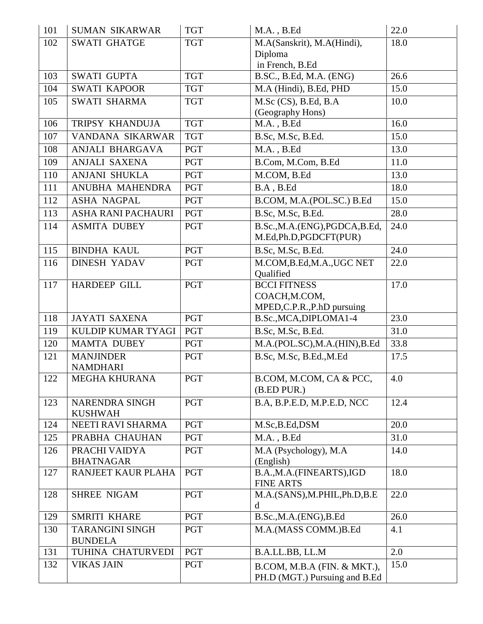| 101 | <b>SUMAN SIKARWAR</b>                    | <b>TGT</b> | $M.A.$ , $B.Ed$                                                     | 22.0 |
|-----|------------------------------------------|------------|---------------------------------------------------------------------|------|
| 102 | <b>SWATI GHATGE</b>                      | <b>TGT</b> | M.A(Sanskrit), M.A(Hindi),                                          | 18.0 |
|     |                                          |            | Diploma                                                             |      |
|     |                                          |            | in French, B.Ed                                                     |      |
| 103 | <b>SWATI GUPTA</b>                       | <b>TGT</b> | B.SC., B.Ed, M.A. (ENG)                                             | 26.6 |
| 104 | <b>SWATI KAPOOR</b>                      | <b>TGT</b> | M.A (Hindi), B.Ed, PHD                                              | 15.0 |
| 105 | <b>SWATI SHARMA</b>                      | <b>TGT</b> | $M.Sc$ (CS), B.Ed, B.A<br>(Geography Hons)                          | 10.0 |
| 106 | TRIPSY KHANDUJA                          | <b>TGT</b> | $M.A.$ , $B.Ed$                                                     | 16.0 |
| 107 | VANDANA SIKARWAR                         | <b>TGT</b> | B.Sc, M.Sc, B.Ed.                                                   | 15.0 |
| 108 | ANJALI BHARGAVA                          | <b>PGT</b> | $M.A.$ , $B.Ed$                                                     | 13.0 |
| 109 | <b>ANJALI SAXENA</b>                     | <b>PGT</b> | B.Com, M.Com, B.Ed                                                  | 11.0 |
| 110 | <b>ANJANI SHUKLA</b>                     | <b>PGT</b> | M.COM, B.Ed                                                         | 13.0 |
| 111 | ANUBHA MAHENDRA                          | <b>PGT</b> | B.A, B.Ed                                                           | 18.0 |
| 112 | <b>ASHA NAGPAL</b>                       | <b>PGT</b> | B.COM, M.A.(POL.SC.) B.Ed                                           | 15.0 |
| 113 | ASHA RANI PACHAURI                       | <b>PGT</b> | B.Sc, M.Sc, B.Ed.                                                   | 28.0 |
| 114 | <b>ASMITA DUBEY</b>                      | <b>PGT</b> | B.Sc.,M.A.(ENG),PGDCA,B.Ed,<br>M.Ed,Ph.D,PGDCFT(PUR)                | 24.0 |
| 115 | <b>BINDHA KAUL</b>                       | <b>PGT</b> | B.Sc, M.Sc, B.Ed.                                                   | 24.0 |
| 116 | <b>DINESH YADAV</b>                      | <b>PGT</b> | M.COM, B.Ed, M.A., UGC NET<br>Qualified                             | 22.0 |
| 117 | <b>HARDEEP GILL</b>                      | <b>PGT</b> | <b>BCCI FITNESS</b><br>COACH, M.COM,<br>MPED, C.P.R., P.hD pursuing | 17.0 |
| 118 | <b>JAYATI SAXENA</b>                     | <b>PGT</b> | B.Sc., MCA, DIPLOMA1-4                                              | 23.0 |
| 119 | KULDIP KUMAR TYAGI                       | <b>PGT</b> | B.Sc, M.Sc, B.Ed.                                                   | 31.0 |
| 120 | <b>MAMTA DUBEY</b>                       | <b>PGT</b> | M.A.(POL.SC),M.A.(HIN),B.Ed                                         | 33.8 |
| 121 | <b>MANJINDER</b><br><b>NAMDHARI</b>      | <b>PGT</b> | B.Sc, M.Sc, B.Ed., M.Ed                                             | 17.5 |
| 122 | <b>MEGHA KHURANA</b>                     | <b>PGT</b> | B.COM, M.COM, CA & PCC,<br>(B.ED PUR.)                              | 4.0  |
| 123 | <b>NARENDRA SINGH</b><br><b>KUSHWAH</b>  | <b>PGT</b> | B.A, B.P.E.D, M.P.E.D, NCC                                          | 12.4 |
| 124 | NEETI RAVI SHARMA                        | <b>PGT</b> | M.Sc, B.Ed, DSM                                                     | 20.0 |
| 125 | PRABHA CHAUHAN                           | <b>PGT</b> | M.A., B.Ed                                                          | 31.0 |
| 126 | PRACHI VAIDYA<br><b>BHATNAGAR</b>        | <b>PGT</b> | M.A (Psychology), M.A<br>(English)                                  | 14.0 |
| 127 | RANJEET KAUR PLAHA                       | <b>PGT</b> | B.A.,M.A.(FINEARTS),IGD<br><b>FINE ARTS</b>                         | 18.0 |
| 128 | <b>SHREE NIGAM</b>                       | <b>PGT</b> | M.A.(SANS), M.PHIL, Ph.D, B.E<br>$\mathbf d$                        | 22.0 |
| 129 | <b>SMRITI KHARE</b>                      | <b>PGT</b> | B.Sc., M.A. (ENG), B.Ed                                             | 26.0 |
| 130 | <b>TARANGINI SINGH</b><br><b>BUNDELA</b> | <b>PGT</b> | M.A.(MASS COMM.)B.Ed                                                | 4.1  |
| 131 | TUHINA CHATURVEDI                        | <b>PGT</b> | B.A.LL.BB, LL.M                                                     | 2.0  |
| 132 | <b>VIKAS JAIN</b>                        | <b>PGT</b> | B.COM, M.B.A (FIN. & MKT.),<br>PH.D (MGT.) Pursuing and B.Ed        | 15.0 |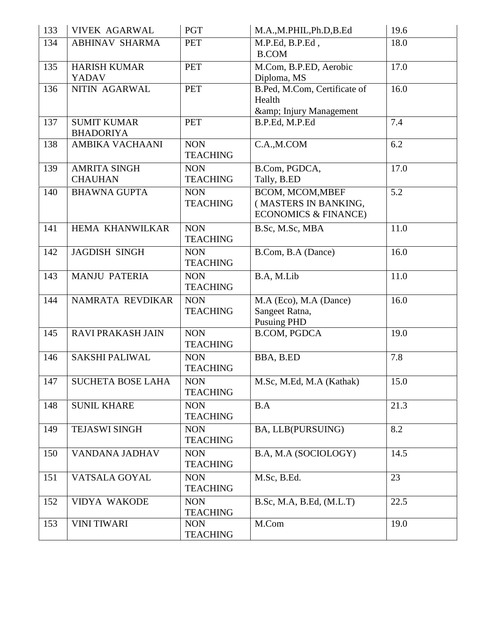| 133 | <b>VIVEK AGARWAL</b>                   | <b>PGT</b>                    | M.A.,M.PHIL,Ph.D,B.Ed                                                       | 19.6 |
|-----|----------------------------------------|-------------------------------|-----------------------------------------------------------------------------|------|
| 134 | <b>ABHINAV SHARMA</b>                  | <b>PET</b>                    | M.P.Ed, B.P.Ed,<br><b>B.COM</b>                                             | 18.0 |
| 135 | <b>HARISH KUMAR</b><br><b>YADAV</b>    | <b>PET</b>                    | M.Com, B.P.ED, Aerobic<br>Diploma, MS                                       | 17.0 |
| 136 | NITIN AGARWAL                          | <b>PET</b>                    | B.Ped, M.Com, Certificate of<br>Health<br>& Injury Management               | 16.0 |
| 137 | <b>SUMIT KUMAR</b><br><b>BHADORIYA</b> | <b>PET</b>                    | B.P.Ed, M.P.Ed                                                              | 7.4  |
| 138 | AMBIKA VACHAANI                        | <b>NON</b><br><b>TEACHING</b> | C.A., M.COM                                                                 | 6.2  |
| 139 | <b>AMRITA SINGH</b><br><b>CHAUHAN</b>  | <b>NON</b><br><b>TEACHING</b> | B.Com, PGDCA,<br>Tally, B.ED                                                | 17.0 |
| 140 | <b>BHAWNA GUPTA</b>                    | <b>NON</b><br><b>TEACHING</b> | BCOM, MCOM, MBEF<br>(MASTERS IN BANKING,<br><b>ECONOMICS &amp; FINANCE)</b> | 5.2  |
| 141 | HEMA KHANWILKAR                        | <b>NON</b><br><b>TEACHING</b> | B.Sc, M.Sc, MBA                                                             | 11.0 |
| 142 | <b>JAGDISH SINGH</b>                   | <b>NON</b><br><b>TEACHING</b> | B.Com, B.A (Dance)                                                          | 16.0 |
| 143 | <b>MANJU PATERIA</b>                   | <b>NON</b><br><b>TEACHING</b> | B.A, M.Lib                                                                  | 11.0 |
| 144 | NAMRATA REVDIKAR                       | <b>NON</b><br><b>TEACHING</b> | M.A (Eco), M.A (Dance)<br>Sangeet Ratna,<br><b>Pusuing PHD</b>              | 16.0 |
| 145 | <b>RAVI PRAKASH JAIN</b>               | <b>NON</b><br><b>TEACHING</b> | <b>B.COM, PGDCA</b>                                                         | 19.0 |
| 146 | <b>SAKSHI PALIWAL</b>                  | <b>NON</b><br><b>TEACHING</b> | BBA, B.ED                                                                   | 7.8  |
| 147 | <b>SUCHETA BOSE LAHA</b>               | <b>NON</b><br><b>TEACHING</b> | M.Sc, M.Ed, M.A (Kathak)                                                    | 15.0 |
| 148 | <b>SUNIL KHARE</b>                     | <b>NON</b><br><b>TEACHING</b> | B.A                                                                         | 21.3 |
| 149 | <b>TEJASWI SINGH</b>                   | <b>NON</b><br><b>TEACHING</b> | BA, LLB(PURSUING)                                                           | 8.2  |
| 150 | VANDANA JADHAV                         | <b>NON</b><br><b>TEACHING</b> | B.A, M.A (SOCIOLOGY)                                                        | 14.5 |
| 151 | VATSALA GOYAL                          | <b>NON</b><br><b>TEACHING</b> | M.Sc, B.Ed.                                                                 | 23   |
| 152 | <b>VIDYA WAKODE</b>                    | <b>NON</b><br><b>TEACHING</b> | B.Sc, M.A, B.Ed, (M.L.T)                                                    | 22.5 |
| 153 | <b>VINI TIWARI</b>                     | <b>NON</b><br><b>TEACHING</b> | M.Com                                                                       | 19.0 |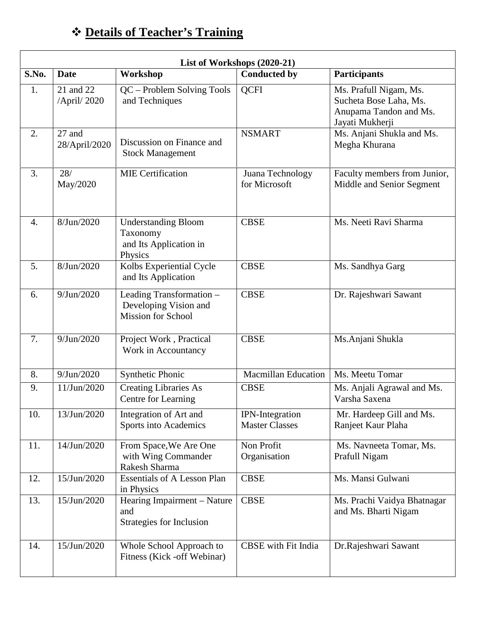| ❖ Details of Teacher's Training |  |
|---------------------------------|--|
|---------------------------------|--|

| List of Workshops (2020-21) |                          |                                                                                |                                                 |                                                                                               |
|-----------------------------|--------------------------|--------------------------------------------------------------------------------|-------------------------------------------------|-----------------------------------------------------------------------------------------------|
| S.No.                       | <b>Date</b>              | Workshop                                                                       | <b>Conducted by</b>                             | <b>Participants</b>                                                                           |
| 1.                          | 21 and 22<br>/April/2020 | QC - Problem Solving Tools<br>and Techniques                                   | <b>QCFI</b>                                     | Ms. Prafull Nigam, Ms.<br>Sucheta Bose Laha, Ms.<br>Anupama Tandon and Ms.<br>Jayati Mukherji |
| 2.                          | 27 and<br>28/April/2020  | Discussion on Finance and<br><b>Stock Management</b>                           | <b>NSMART</b>                                   | Ms. Anjani Shukla and Ms.<br>Megha Khurana                                                    |
| 3.                          | 28/<br>May/2020          | <b>MIE</b> Certification                                                       | Juana Technology<br>for Microsoft               | Faculty members from Junior,<br>Middle and Senior Segment                                     |
| $\overline{4}$ .            | 8/Jun/2020               | <b>Understanding Bloom</b><br>Taxonomy<br>and Its Application in<br>Physics    | <b>CBSE</b>                                     | Ms. Neeti Ravi Sharma                                                                         |
| 5.                          | 8/Jun/2020               | Kolbs Experiential Cycle<br>and Its Application                                | <b>CBSE</b>                                     | Ms. Sandhya Garg                                                                              |
| 6.                          | 9/Jun/2020               | Leading Transformation -<br>Developing Vision and<br><b>Mission for School</b> | <b>CBSE</b>                                     | Dr. Rajeshwari Sawant                                                                         |
| 7.                          | 9/Jun/2020               | Project Work, Practical<br>Work in Accountancy                                 | <b>CBSE</b>                                     | Ms. Anjani Shukla                                                                             |
| 8.                          | 9/Jun/2020               | Synthetic Phonic                                                               | <b>Macmillan Education</b>                      | Ms. Meetu Tomar                                                                               |
| 9.                          | 11/Jun/2020              | <b>Creating Libraries As</b><br>Centre for Learning                            | <b>CBSE</b>                                     | Ms. Anjali Agrawal and Ms.<br>Varsha Saxena                                                   |
| 10.                         | 13/Jun/2020              | Integration of Art and<br>Sports into Academics                                | <b>IPN-Integration</b><br><b>Master Classes</b> | Mr. Hardeep Gill and Ms.<br>Ranjeet Kaur Plaha                                                |
| 11.                         | 14/Jun/2020              | From Space, We Are One<br>with Wing Commander<br>Rakesh Sharma                 | Non Profit<br>Organisation                      | Ms. Navneeta Tomar, Ms.<br>Prafull Nigam                                                      |
| 12.                         | 15/Jun/2020              | <b>Essentials of A Lesson Plan</b><br>in Physics                               | <b>CBSE</b>                                     | Ms. Mansi Gulwani                                                                             |
| 13.                         | 15/Jun/2020              | Hearing Impairment - Nature<br>and<br>Strategies for Inclusion                 | <b>CBSE</b>                                     | Ms. Prachi Vaidya Bhatnagar<br>and Ms. Bharti Nigam                                           |
| 14.                         | 15/Jun/2020              | Whole School Approach to<br>Fitness (Kick - off Webinar)                       | <b>CBSE</b> with Fit India                      | Dr.Rajeshwari Sawant                                                                          |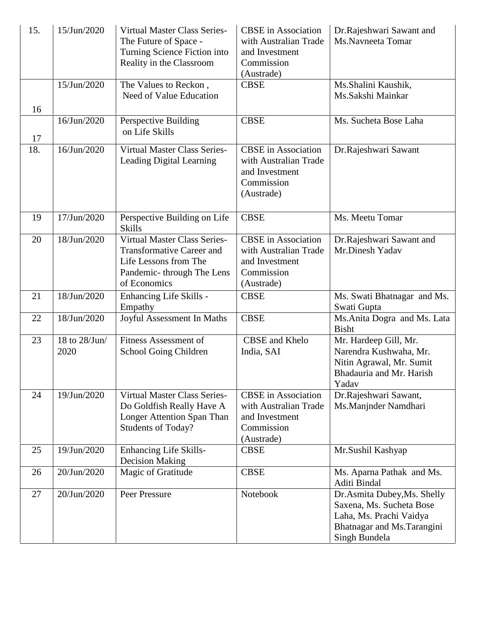| 15. | 15/Jun/2020           | <b>Virtual Master Class Series-</b><br>The Future of Space -<br>Turning Science Fiction into<br>Reality in the Classroom                      | <b>CBSE</b> in Association<br>with Australian Trade<br>and Investment<br>Commission<br>(Austrade) | Dr.Rajeshwari Sawant and<br>Ms.Navneeta Tomar                                                                                      |
|-----|-----------------------|-----------------------------------------------------------------------------------------------------------------------------------------------|---------------------------------------------------------------------------------------------------|------------------------------------------------------------------------------------------------------------------------------------|
| 16  | 15/Jun/2020           | The Values to Reckon,<br>Need of Value Education                                                                                              | <b>CBSE</b>                                                                                       | Ms.Shalini Kaushik,<br>Ms.Sakshi Mainkar                                                                                           |
| 17  | 16/Jun/2020           | Perspective Building<br>on Life Skills                                                                                                        | <b>CBSE</b>                                                                                       | Ms. Sucheta Bose Laha                                                                                                              |
| 18. | 16/Jun/2020           | <b>Virtual Master Class Series-</b><br>Leading Digital Learning                                                                               | <b>CBSE</b> in Association<br>with Australian Trade<br>and Investment<br>Commission<br>(Austrade) | Dr.Rajeshwari Sawant                                                                                                               |
| 19  | 17/Jun/2020           | Perspective Building on Life<br><b>Skills</b>                                                                                                 | <b>CBSE</b>                                                                                       | Ms. Meetu Tomar                                                                                                                    |
| 20  | 18/Jun/2020           | <b>Virtual Master Class Series-</b><br><b>Transformative Career and</b><br>Life Lessons from The<br>Pandemic-through The Lens<br>of Economics | <b>CBSE</b> in Association<br>with Australian Trade<br>and Investment<br>Commission<br>(Austrade) | Dr.Rajeshwari Sawant and<br>Mr.Dinesh Yadav                                                                                        |
| 21  | 18/Jun/2020           | Enhancing Life Skills -<br>Empathy                                                                                                            | <b>CBSE</b>                                                                                       | Ms. Swati Bhatnagar and Ms.<br>Swati Gupta                                                                                         |
| 22  | 18/Jun/2020           | Joyful Assessment In Maths                                                                                                                    | <b>CBSE</b>                                                                                       | Ms. Anita Dogra and Ms. Lata<br><b>Bisht</b>                                                                                       |
| 23  | 18 to 28/Jun/<br>2020 | <b>Fitness Assessment of</b><br>School Going Children                                                                                         | CBSE and Khelo<br>India, SAI                                                                      | Mr. Hardeep Gill, Mr.<br>Narendra Kushwaha, Mr.<br>Nitin Agrawal, Mr. Sumit<br>Bhadauria and Mr. Harish<br>Yadav                   |
| 24  | 19/Jun/2020           | <b>Virtual Master Class Series-</b><br>Do Goldfish Really Have A<br>Longer Attention Span Than<br><b>Students of Today?</b>                   | <b>CBSE</b> in Association<br>with Australian Trade<br>and Investment<br>Commission<br>(Austrade) | Dr.Rajeshwari Sawant,<br>Ms.Manjnder Namdhari                                                                                      |
| 25  | 19/Jun/2020           | <b>Enhancing Life Skills-</b><br><b>Decision Making</b>                                                                                       | <b>CBSE</b>                                                                                       | Mr.Sushil Kashyap                                                                                                                  |
| 26  | 20/Jun/2020           | Magic of Gratitude                                                                                                                            | <b>CBSE</b>                                                                                       | Ms. Aparna Pathak and Ms.<br>Aditi Bindal                                                                                          |
| 27  | 20/Jun/2020           | Peer Pressure                                                                                                                                 | Notebook                                                                                          | Dr. Asmita Dubey, Ms. Shelly<br>Saxena, Ms. Sucheta Bose<br>Laha, Ms. Prachi Vaidya<br>Bhatnagar and Ms.Tarangini<br>Singh Bundela |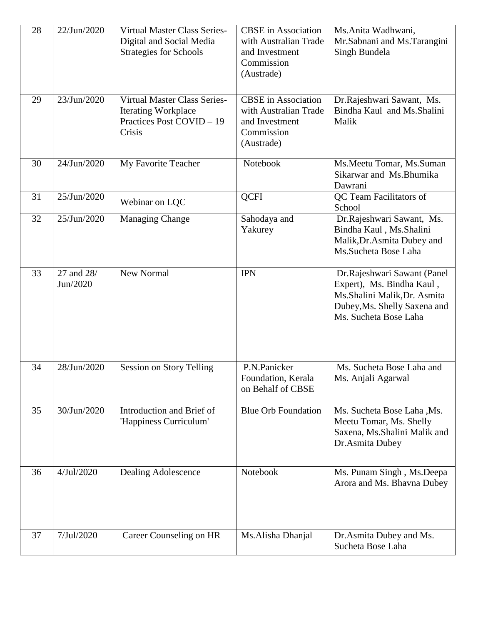| 28 | 22/Jun/2020            | <b>Virtual Master Class Series-</b><br>Digital and Social Media<br><b>Strategies for Schools</b>         | <b>CBSE</b> in Association<br>with Australian Trade<br>and Investment<br>Commission<br>(Austrade) | Ms.Anita Wadhwani,<br>Mr.Sabnani and Ms.Tarangini<br>Singh Bundela                                                                                |
|----|------------------------|----------------------------------------------------------------------------------------------------------|---------------------------------------------------------------------------------------------------|---------------------------------------------------------------------------------------------------------------------------------------------------|
| 29 | 23/Jun/2020            | <b>Virtual Master Class Series-</b><br><b>Iterating Workplace</b><br>Practices Post COVID - 19<br>Crisis | <b>CBSE</b> in Association<br>with Australian Trade<br>and Investment<br>Commission<br>(Austrade) | Dr.Rajeshwari Sawant, Ms.<br>Bindha Kaul and Ms. Shalini<br>Malik                                                                                 |
| 30 | 24/Jun/2020            | My Favorite Teacher                                                                                      | Notebook                                                                                          | Ms. Meetu Tomar, Ms. Suman<br>Sikarwar and Ms.Bhumika<br>Dawrani                                                                                  |
| 31 | 25/Jun/2020            | Webinar on LQC                                                                                           | <b>QCFI</b>                                                                                       | QC Team Facilitators of<br>School                                                                                                                 |
| 32 | 25/Jun/2020            | <b>Managing Change</b>                                                                                   | Sahodaya and<br>Yakurey                                                                           | Dr.Rajeshwari Sawant, Ms.<br>Bindha Kaul, Ms.Shalini<br>Malik, Dr. Asmita Dubey and<br>Ms.Sucheta Bose Laha                                       |
| 33 | 27 and 28/<br>Jun/2020 | New Normal                                                                                               | <b>IPN</b>                                                                                        | Dr.Rajeshwari Sawant (Panel<br>Expert), Ms. Bindha Kaul,<br>Ms.Shalini Malik, Dr. Asmita<br>Dubey, Ms. Shelly Saxena and<br>Ms. Sucheta Bose Laha |
| 34 | 28/Jun/2020            | <b>Session on Story Telling</b>                                                                          | P.N.Panicker<br>Foundation, Kerala<br>on Behalf of CBSE                                           | Ms. Sucheta Bose Laha and<br>Ms. Anjali Agarwal                                                                                                   |
| 35 | 30/Jun/2020            | Introduction and Brief of<br>'Happiness Curriculum'                                                      | <b>Blue Orb Foundation</b>                                                                        | Ms. Sucheta Bose Laha, Ms.<br>Meetu Tomar, Ms. Shelly<br>Saxena, Ms. Shalini Malik and<br>Dr.Asmita Dubey                                         |
| 36 | 4/Jul/2020             | Dealing Adolescence                                                                                      | Notebook                                                                                          | Ms. Punam Singh, Ms. Deepa<br>Arora and Ms. Bhavna Dubey                                                                                          |
| 37 | 7/Jul/2020             | Career Counseling on HR                                                                                  | Ms.Alisha Dhanjal                                                                                 | Dr. Asmita Dubey and Ms.<br>Sucheta Bose Laha                                                                                                     |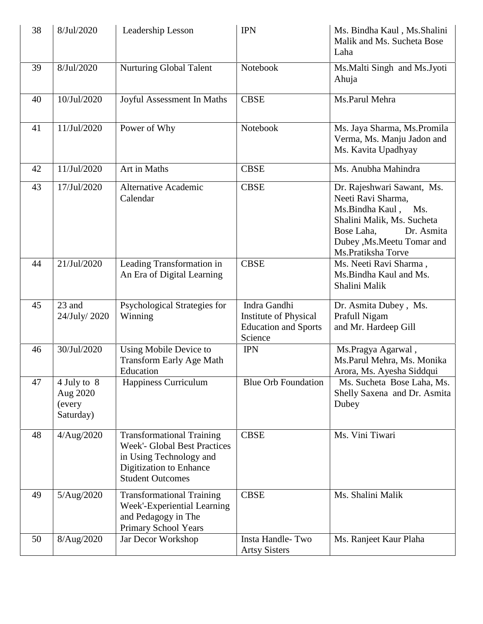| 38       | 8/Jul/2020                                     | Leadership Lesson                                                                                                                                        | <b>IPN</b>                                                                      | Ms. Bindha Kaul, Ms. Shalini<br>Malik and Ms. Sucheta Bose<br>Laha                                                                                                                                                                             |
|----------|------------------------------------------------|----------------------------------------------------------------------------------------------------------------------------------------------------------|---------------------------------------------------------------------------------|------------------------------------------------------------------------------------------------------------------------------------------------------------------------------------------------------------------------------------------------|
| 39       | 8/Jul/2020                                     | Nurturing Global Talent                                                                                                                                  | Notebook                                                                        | Ms. Malti Singh and Ms. Jyoti<br>Ahuja                                                                                                                                                                                                         |
| 40       | 10/Jul/2020                                    | Joyful Assessment In Maths                                                                                                                               | <b>CBSE</b>                                                                     | Ms.Parul Mehra                                                                                                                                                                                                                                 |
| 41       | 11/Jul/2020                                    | Power of Why                                                                                                                                             | Notebook                                                                        | Ms. Jaya Sharma, Ms. Promila<br>Verma, Ms. Manju Jadon and<br>Ms. Kavita Upadhyay                                                                                                                                                              |
| 42       | 11/Jul/2020                                    | Art in Maths                                                                                                                                             | <b>CBSE</b>                                                                     | Ms. Anubha Mahindra                                                                                                                                                                                                                            |
| 43<br>44 | 17/Jul/2020<br>21/Jul/2020                     | <b>Alternative Academic</b><br>Calendar<br>Leading Transformation in<br>An Era of Digital Learning                                                       | <b>CBSE</b><br><b>CBSE</b>                                                      | Dr. Rajeshwari Sawant, Ms.<br>Neeti Ravi Sharma,<br>Ms.Bindha Kaul,<br>Ms.<br>Shalini Malik, Ms. Sucheta<br>Dr. Asmita<br>Bose Laha,<br>Dubey , Ms. Meetu Tomar and<br>Ms.Pratiksha Torve<br>Ms. Neeti Ravi Sharma,<br>Ms. Bindha Kaul and Ms. |
|          |                                                |                                                                                                                                                          |                                                                                 | Shalini Malik                                                                                                                                                                                                                                  |
| 45       | 23 and<br>24/July/ 2020                        | Psychological Strategies for<br>Winning                                                                                                                  | Indra Gandhi<br>Institute of Physical<br><b>Education and Sports</b><br>Science | Dr. Asmita Dubey, Ms.<br>Prafull Nigam<br>and Mr. Hardeep Gill                                                                                                                                                                                 |
| 46       | 30/Jul/2020                                    | Using Mobile Device to<br><b>Transform Early Age Math</b><br>Education                                                                                   | <b>IPN</b>                                                                      | Ms.Pragya Agarwal,<br>Ms.Parul Mehra, Ms. Monika<br>Arora, Ms. Ayesha Siddqui                                                                                                                                                                  |
| 47       | 4 July to 8<br>Aug 2020<br>(every<br>Saturday) | Happiness Curriculum                                                                                                                                     | <b>Blue Orb Foundation</b>                                                      | Ms. Sucheta Bose Laha, Ms.<br>Shelly Saxena and Dr. Asmita<br>Dubey                                                                                                                                                                            |
| 48       | 4/Aug/2020                                     | <b>Transformational Training</b><br><b>Week'- Global Best Practices</b><br>in Using Technology and<br>Digitization to Enhance<br><b>Student Outcomes</b> | <b>CBSE</b>                                                                     | Ms. Vini Tiwari                                                                                                                                                                                                                                |
| 49       | 5/Aug/2020                                     | <b>Transformational Training</b><br>Week'-Experiential Learning<br>and Pedagogy in The<br>Primary School Years                                           | <b>CBSE</b>                                                                     | Ms. Shalini Malik                                                                                                                                                                                                                              |
| 50       | 8/Aug/2020                                     | Jar Decor Workshop                                                                                                                                       | Insta Handle-Two<br><b>Artsy Sisters</b>                                        | Ms. Ranjeet Kaur Plaha                                                                                                                                                                                                                         |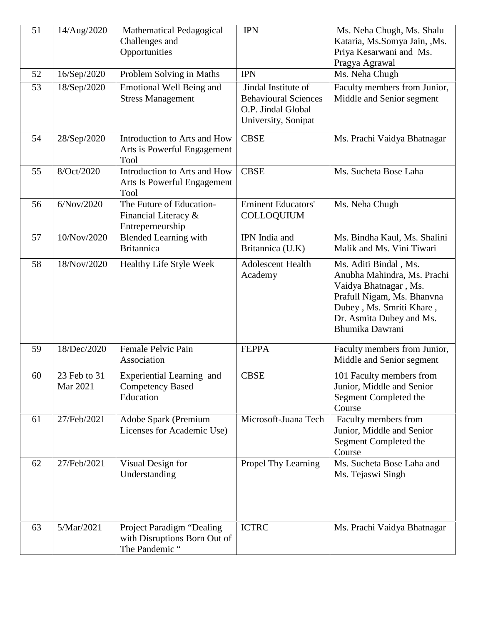| 51 | 14/Aug/2020              | <b>Mathematical Pedagogical</b><br>Challenges and<br>Opportunities          | <b>IPN</b>                                                                                      | Ms. Neha Chugh, Ms. Shalu<br>Kataria, Ms.Somya Jain, , Ms.<br>Priya Kesarwani and Ms.<br>Pragya Agrawal                                                                                |
|----|--------------------------|-----------------------------------------------------------------------------|-------------------------------------------------------------------------------------------------|----------------------------------------------------------------------------------------------------------------------------------------------------------------------------------------|
| 52 | 16/Sep/2020              | Problem Solving in Maths                                                    | <b>IPN</b>                                                                                      | Ms. Neha Chugh                                                                                                                                                                         |
| 53 | 18/Sep/2020              | Emotional Well Being and<br><b>Stress Management</b>                        | Jindal Institute of<br><b>Behavioural Sciences</b><br>O.P. Jindal Global<br>University, Sonipat | Faculty members from Junior,<br>Middle and Senior segment                                                                                                                              |
| 54 | 28/Sep/2020              | Introduction to Arts and How<br>Arts is Powerful Engagement<br>Tool         | <b>CBSE</b>                                                                                     | Ms. Prachi Vaidya Bhatnagar                                                                                                                                                            |
| 55 | 8/Oct/2020               | Introduction to Arts and How<br>Arts Is Powerful Engagement<br>Tool         | <b>CBSE</b>                                                                                     | Ms. Sucheta Bose Laha                                                                                                                                                                  |
| 56 | 6/Nov/2020               | The Future of Education-<br>Financial Literacy &<br>Entreperneurship        | <b>Eminent Educators'</b><br><b>COLLOQUIUM</b>                                                  | Ms. Neha Chugh                                                                                                                                                                         |
| 57 | 10/Nov/2020              | <b>Blended Learning with</b><br><b>Britannica</b>                           | IPN India and<br>Britannica (U.K)                                                               | Ms. Bindha Kaul, Ms. Shalini<br>Malik and Ms. Vini Tiwari                                                                                                                              |
| 58 | 18/Nov/2020              | <b>Healthy Life Style Week</b>                                              | <b>Adolescent Health</b><br>Academy                                                             | Ms. Aditi Bindal, Ms.<br>Anubha Mahindra, Ms. Prachi<br>Vaidya Bhatnagar, Ms.<br>Prafull Nigam, Ms. Bhanvna<br>Dubey, Ms. Smriti Khare,<br>Dr. Asmita Dubey and Ms.<br>Bhumika Dawrani |
| 59 | 18/Dec/2020              | Female Pelvic Pain<br>Association                                           | <b>FEPPA</b>                                                                                    | Faculty members from Junior,<br>Middle and Senior segment                                                                                                                              |
| 60 | 23 Feb to 31<br>Mar 2021 | Experiential Learning and<br><b>Competency Based</b><br>Education           | <b>CBSE</b>                                                                                     | 101 Faculty members from<br>Junior, Middle and Senior<br>Segment Completed the<br>Course                                                                                               |
| 61 | 27/Feb/2021              | Adobe Spark (Premium<br>Licenses for Academic Use)                          | Microsoft-Juana Tech                                                                            | Faculty members from<br>Junior, Middle and Senior<br>Segment Completed the<br>Course                                                                                                   |
| 62 | 27/Feb/2021              | Visual Design for<br>Understanding                                          | Propel Thy Learning                                                                             | Ms. Sucheta Bose Laha and<br>Ms. Tejaswi Singh                                                                                                                                         |
| 63 | 5/Mar/2021               | Project Paradigm "Dealing<br>with Disruptions Born Out of<br>The Pandemic " | <b>ICTRC</b>                                                                                    | Ms. Prachi Vaidya Bhatnagar                                                                                                                                                            |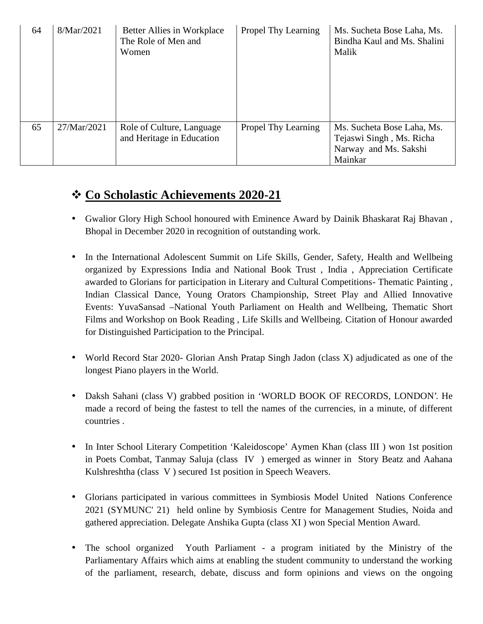| 64 | 8/Mar/2021  | Better Allies in Workplace<br>The Role of Men and<br>Women | Propel Thy Learning        | Ms. Sucheta Bose Laha, Ms.<br>Bindha Kaul and Ms. Shalini<br>Malik                         |
|----|-------------|------------------------------------------------------------|----------------------------|--------------------------------------------------------------------------------------------|
| 65 | 27/Mar/2021 | Role of Culture, Language<br>and Heritage in Education     | <b>Propel Thy Learning</b> | Ms. Sucheta Bose Laha, Ms.<br>Tejaswi Singh, Ms. Richa<br>Narway and Ms. Sakshi<br>Mainkar |

## **Co Scholastic Achievements 2020-21**

- Gwalior Glory High School honoured with Eminence Award by Dainik Bhaskarat Raj Bhavan , Bhopal in December 2020 in recognition of outstanding work.
- In the International Adolescent Summit on Life Skills, Gender, Safety, Health and Wellbeing organized by Expressions India and National Book Trust , India , Appreciation Certificate awarded to Glorians for participation in Literary and Cultural Competitions- Thematic Painting , Indian Classical Dance, Young Orators Championship, Street Play and Allied Innovative Events: YuvaSansad –National Youth Parliament on Health and Wellbeing, Thematic Short Films and Workshop on Book Reading , Life Skills and Wellbeing. Citation of Honour awarded for Distinguished Participation to the Principal.
- World Record Star 2020- Glorian Ansh Pratap Singh Jadon (class X) adjudicated as one of the longest Piano players in the World.
- Daksh Sahani (class V) grabbed position in 'WORLD BOOK OF RECORDS, LONDON'. He made a record of being the fastest to tell the names of the currencies, in a minute, of different countries .
- In Inter School Literary Competition 'Kaleidoscope' Aymen Khan (class III) won 1st position in Poets Combat, Tanmay Saluja (class IV ) emerged as winner in Story Beatz and Aahana Kulshreshtha (class V ) secured 1st position in Speech Weavers.
- Glorians participated in various committees in Symbiosis Model United Nations Conference 2021 (SYMUNC' 21) held online by Symbiosis Centre for Management Studies, Noida and gathered appreciation. Delegate Anshika Gupta (class XI ) won Special Mention Award.
- The school organized Youth Parliament a program initiated by the Ministry of the Parliamentary Affairs which aims at enabling the student community to understand the working of the parliament, research, debate, discuss and form opinions and views on the ongoing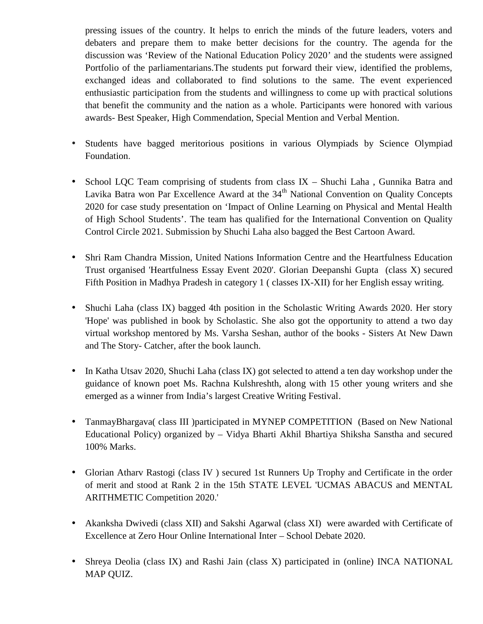pressing issues of the country. It helps to enrich the minds of the future leaders, voters and debaters and prepare them to make better decisions for the country. The agenda for the discussion was 'Review of the National Education Policy 2020' and the students were assigned Portfolio of the parliamentarians.The students put forward their view, identified the problems, exchanged ideas and collaborated to find solutions to the same. The event experienced enthusiastic participation from the students and willingness to come up with practical solutions that benefit the community and the nation as a whole. Participants were honored with various awards- Best Speaker, High Commendation, Special Mention and Verbal Mention.

- Students have bagged meritorious positions in various Olympiads by Science Olympiad Foundation.
- School LQC Team comprising of students from class IX Shuchi Laha, Gunnika Batra and Lavika Batra won Par Excellence Award at the 34<sup>th</sup> National Convention on Quality Concepts 2020 for case study presentation on 'Impact of Online Learning on Physical and Mental Health of High School Students'. The team has qualified for the International Convention on Quality Control Circle 2021. Submission by Shuchi Laha also bagged the Best Cartoon Award.
- Shri Ram Chandra Mission, United Nations Information Centre and the Heartfulness Education Trust organised 'Heartfulness Essay Event 2020'. Glorian Deepanshi Gupta (class X) secured Fifth Position in Madhya Pradesh in category 1 ( classes IX-XII) for her English essay writing.
- Shuchi Laha (class IX) bagged 4th position in the Scholastic Writing Awards 2020. Her story 'Hope' was published in book by Scholastic. She also got the opportunity to attend a two day virtual workshop mentored by Ms. Varsha Seshan, author of the books - Sisters At New Dawn and The Story- Catcher, after the book launch.
- In Katha Utsav 2020, Shuchi Laha (class IX) got selected to attend a ten day workshop under the guidance of known poet Ms. Rachna Kulshreshth, along with 15 other young writers and she emerged as a winner from India's largest Creative Writing Festival.
- TanmayBhargava( class III )participated in MYNEP COMPETITION (Based on New National Educational Policy) organized by – Vidya Bharti Akhil Bhartiya Shiksha Sanstha and secured 100% Marks.
- Glorian Atharv Rastogi (class IV ) secured 1st Runners Up Trophy and Certificate in the order of merit and stood at Rank 2 in the 15th STATE LEVEL 'UCMAS ABACUS and MENTAL ARITHMETIC Competition 2020.'
- Akanksha Dwivedi (class XII) and Sakshi Agarwal (class XI) were awarded with Certificate of Excellence at Zero Hour Online International Inter – School Debate 2020.
- Shreya Deolia (class IX) and Rashi Jain (class X) participated in (online) INCA NATIONAL MAP QUIZ.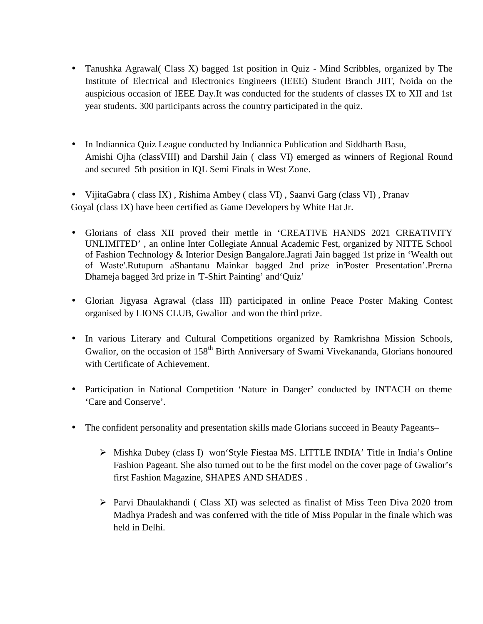- Tanushka Agrawal (Class X) bagged 1st position in Quiz Mind Scribbles, organized by The Institute of Electrical and Electronics Engineers (IEEE) Student Branch JIIT, Noida on the auspicious occasion of IEEE Day.It was conducted for the students of classes IX to XII and 1st year students. 300 participants across the country participated in the quiz.
- In Indiannica Quiz League conducted by Indiannica Publication and Siddharth Basu, Amishi Ojha (classVIII) and Darshil Jain ( class VI) emerged as winners of Regional Round and secured 5th position in IQL Semi Finals in West Zone.
- VijitaGabra ( class IX) , Rishima Ambey ( class VI) , Saanvi Garg (class VI) , Pranav Goyal (class IX) have been certified as Game Developers by White Hat Jr.
- Glorians of class XII proved their mettle in 'CREATIVE HANDS 2021 CREATIVITY UNLIMITED' , an online Inter Collegiate Annual Academic Fest, organized by NITTE School of Fashion Technology & Interior Design Bangalore.Jagrati Jain bagged 1st prize in 'Wealth out of Waste'.Rutupurn aShantanu Mainkar bagged 2nd prize in'Poster Presentation'.Prerna Dhameja bagged 3rd prize in 'T-Shirt Painting' and'Quiz'
- Glorian Jigyasa Agrawal (class III) participated in online Peace Poster Making Contest organised by LIONS CLUB, Gwalior and won the third prize.
- In various Literary and Cultural Competitions organized by Ramkrishna Mission Schools, Gwalior, on the occasion of 158<sup>th</sup> Birth Anniversary of Swami Vivekananda, Glorians honoured with Certificate of Achievement.
- Participation in National Competition 'Nature in Danger' conducted by INTACH on theme 'Care and Conserve'.
- The confident personality and presentation skills made Glorians succeed in Beauty Pageants–
	- Mishka Dubey (class I) won'Style Fiestaa MS. LITTLE INDIA' Title in India's Online Fashion Pageant. She also turned out to be the first model on the cover page of Gwalior's first Fashion Magazine, SHAPES AND SHADES .
	- Parvi Dhaulakhandi ( Class XI) was selected as finalist of Miss Teen Diva 2020 from Madhya Pradesh and was conferred with the title of Miss Popular in the finale which was held in Delhi.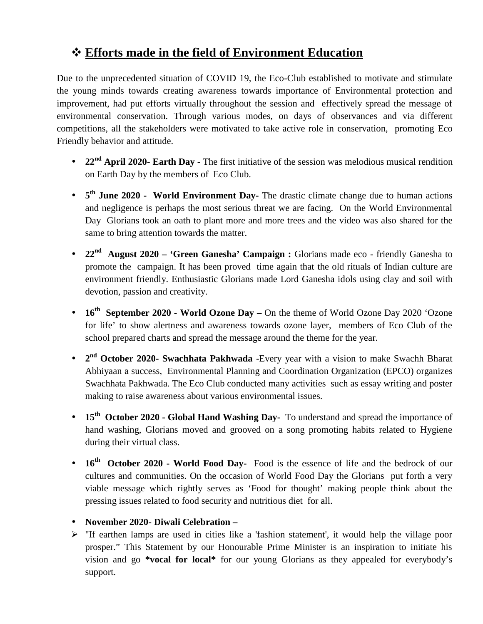## **Efforts made in the field of Environment Education**

Due to the unprecedented situation of COVID 19, the Eco-Club established to motivate and stimulate the young minds towards creating awareness towards importance of Environmental protection and improvement, had put efforts virtually throughout the session and effectively spread the message of environmental conservation. Through various modes, on days of observances and via different competitions, all the stakeholders were motivated to take active role in conservation, promoting Eco Friendly behavior and attitude.

- **22nd April 2020- Earth Day -** The first initiative of the session was melodious musical rendition on Earth Day by the members of Eco Club.
- **5 th June 2020 - World Environment Day-** The drastic climate change due to human actions and negligence is perhaps the most serious threat we are facing. On the World Environmental Day Glorians took an oath to plant more and more trees and the video was also shared for the same to bring attention towards the matter.
- **22nd August 2020 – 'Green Ganesha' Campaign :** Glorians made eco friendly Ganesha to promote the campaign. It has been proved time again that the old rituals of Indian culture are environment friendly. Enthusiastic Glorians made Lord Ganesha idols using clay and soil with devotion, passion and creativity.
- **16th September 2020 - World Ozone Day –** On the theme of World Ozone Day 2020 'Ozone for life' to show alertness and awareness towards ozone layer, members of Eco Club of the school prepared charts and spread the message around the theme for the year.
- **•**  $2^{nd}$  **October 2020- Swachhata Pakhwada** -Every year with a vision to make Swachh Bharat Abhiyaan a success, Environmental Planning and Coordination Organization (EPCO) organizes Swachhata Pakhwada. The Eco Club conducted many activities such as essay writing and poster making to raise awareness about various environmental issues.
- **15th October 2020 - Global Hand Washing Day-** To understand and spread the importance of hand washing, Glorians moved and grooved on a song promoting habits related to Hygiene during their virtual class.
- **16th October 2020 - World Food Day-** Food is the essence of life and the bedrock of our cultures and communities. On the occasion of World Food Day the Glorians put forth a very viable message which rightly serves as 'Food for thought' making people think about the pressing issues related to food security and nutritious diet for all.
- **November 2020- Diwali Celebration –**
- $\triangleright$  "If earthen lamps are used in cities like a 'fashion statement', it would help the village poor prosper." This Statement by our Honourable Prime Minister is an inspiration to initiate his vision and go **\*vocal for local\*** for our young Glorians as they appealed for everybody's support.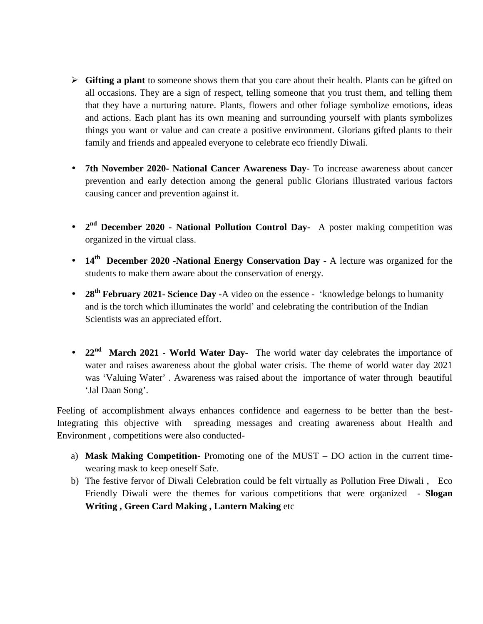- **Gifting a plant** to someone shows them that you care about their health. Plants can be gifted on all occasions. They are a sign of respect, telling someone that you trust them, and telling them that they have a nurturing nature. Plants, flowers and other foliage symbolize emotions, ideas and actions. Each plant has its own meaning and surrounding yourself with plants symbolizes things you want or value and can create a positive environment. Glorians gifted plants to their family and friends and appealed everyone to celebrate eco friendly Diwali.
- **7th November 2020- National Cancer Awareness Day** To increase awareness about cancer prevention and early detection among the general public Glorians illustrated various factors causing cancer and prevention against it.
- **•**  $2^{nd}$  **December 2020 - National Pollution Control Day-** A poster making competition was organized in the virtual class.
- **14th December 2020 -National Energy Conservation Day** A lecture was organized for the students to make them aware about the conservation of energy.
- **28th February 2021- Science Day -**A video on the essence 'knowledge belongs to humanity and is the torch which illuminates the world' and celebrating the contribution of the Indian Scientists was an appreciated effort.
- 22<sup>nd</sup> March 2021 **-** World Water Day- The world water day celebrates the importance of water and raises awareness about the global water crisis. The theme of world water day 2021 was 'Valuing Water' . Awareness was raised about the importance of water through beautiful 'Jal Daan Song'.

Feeling of accomplishment always enhances confidence and eagerness to be better than the best-Integrating this objective with spreading messages and creating awareness about Health and Environment , competitions were also conducted-

- a) **Mask Making Competition-** Promoting one of the MUST DO action in the current time wearing mask to keep oneself Safe.
- b) The festive fervor of Diwali Celebration could be felt virtually as Pollution Free Diwali , Eco Friendly Diwali were the themes for various competitions that were organized - **Slogan Writing , Green Card Making , Lantern Making** etc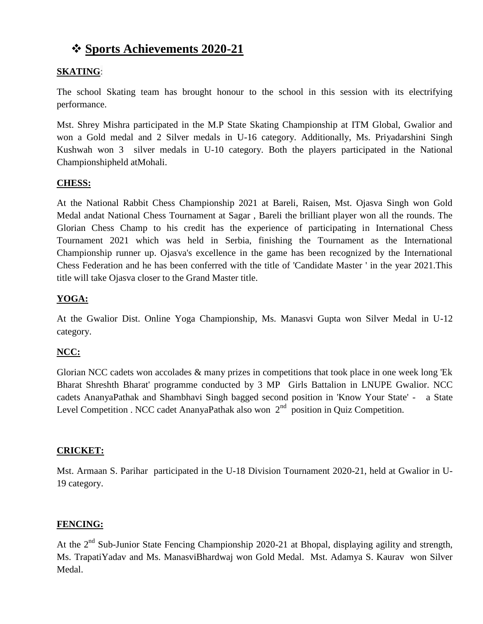## **Sports Achievements 2020-21**

#### **SKATING**:

The school Skating team has brought honour to the school in this session with its electrifying performance.

Mst. Shrey Mishra participated in the M.P State Skating Championship at ITM Global, Gwalior and won a Gold medal and 2 Silver medals in U-16 category. Additionally, Ms. Priyadarshini Singh Kushwah won 3 silver medals in U-10 category. Both the players participated in the National Championshipheld atMohali.

#### **CHESS:**

At the National Rabbit Chess Championship 2021 at Bareli, Raisen, Mst. Ojasva Singh won Gold Medal andat National Chess Tournament at Sagar , Bareli the brilliant player won all the rounds. The Glorian Chess Champ to his credit has the experience of participating in International Chess Tournament 2021 which was held in Serbia, finishing the Tournament as the International Championship runner up. Ojasva's excellence in the game has been recognized by the International Chess Federation and he has been conferred with the title of 'Candidate Master ' in the year 2021.This title will take Ojasva closer to the Grand Master title.

#### **YOGA:**

At the Gwalior Dist. Online Yoga Championship, Ms. Manasvi Gupta won Silver Medal in U-12 category.

#### **NCC:**

Glorian NCC cadets won accolades & many prizes in competitions that took place in one week long 'Ek Bharat Shreshth Bharat' programme conducted by 3 MP Girls Battalion in LNUPE Gwalior. NCC cadets AnanyaPathak and Shambhavi Singh bagged second position in 'Know Your State' - a State Level Competition . NCC cadet AnanyaPathak also won  $2<sup>nd</sup>$  position in Quiz Competition.

#### **CRICKET:**

Mst. Armaan S. Parihar participated in the U-18 Division Tournament 2020-21, held at Gwalior in U- 19 category.

#### **FENCING:**

At the  $2<sup>nd</sup>$  Sub-Junior State Fencing Championship 2020-21 at Bhopal, displaying agility and strength, Ms. TrapatiYadav and Ms. ManasviBhardwaj won Gold Medal. Mst. Adamya S. Kaurav won Silver Medal.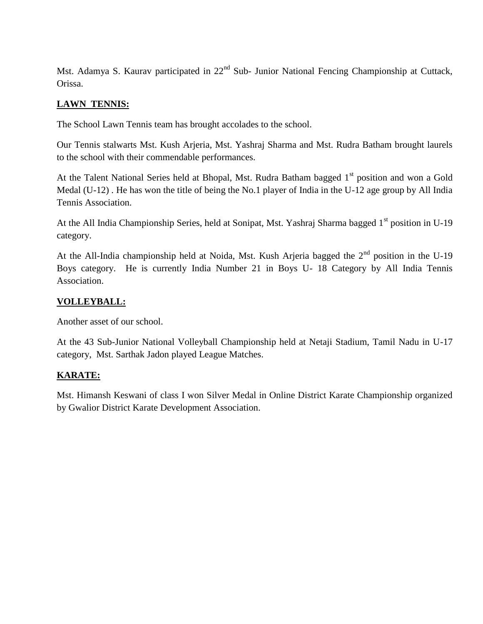Mst. Adamya S. Kaurav participated in 22<sup>nd</sup> Sub- Junior National Fencing Championship at Cuttack, Orissa.

#### **LAWN TENNIS:**

The School Lawn Tennis team has brought accolades to the school.

Our Tennis stalwarts Mst. Kush Arjeria, Mst. Yashraj Sharma and Mst. Rudra Batham brought laurels to the school with their commendable performances.

At the Talent National Series held at Bhopal, Mst. Rudra Batham bagged 1<sup>st</sup> position and won a Gold Medal (U-12) . He has won the title of being the No.1 player of India in the U-12 age group by All India Tennis Association.

At the All India Championship Series, held at Sonipat, Mst. Yashraj Sharma bagged 1<sup>st</sup> position in U-19 category.

At the All-India championship held at Noida, Mst. Kush Arjeria bagged the  $2<sup>nd</sup>$  position in the U-19 Boys category. He is currently India Number 21 in Boys U- 18 Category by All India Tennis Association.

#### **VOLLEYBALL:**

Another asset of our school.

At the 43 Sub-Junior National Volleyball Championship held at Netaji Stadium, Tamil Nadu in U-17 category, Mst. Sarthak Jadon played League Matches.

#### **KARATE:**

Mst. Himansh Keswani of class I won Silver Medal in Online District Karate Championship organized by Gwalior District Karate Development Association.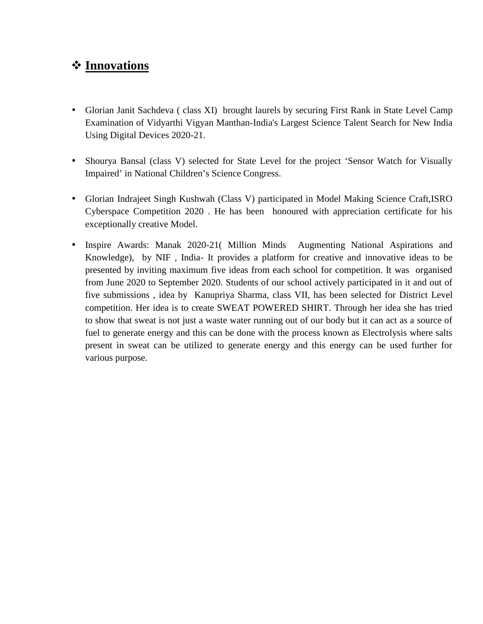## **Innovations**

- Glorian Janit Sachdeva ( class XI) brought laurels by securing First Rank in State Level Camp Examination of Vidyarthi Vigyan Manthan-India's Largest Science Talent Search for New India Using Digital Devices 2020-21.
- Shourya Bansal (class V) selected for State Level for the project 'Sensor Watch for Visually Impaired' in National Children's Science Congress.
- Glorian Indrajeet Singh Kushwah (Class V) participated in Model Making Science Craft,ISRO Cyberspace Competition 2020 . He has been honoured with appreciation certificate for his exceptionally creative Model.
- Inspire Awards: Manak 2020-21( Million Minds Augmenting National Aspirations and Knowledge), by NIF , India- It provides a platform for creative and innovative ideas to be presented by inviting maximum five ideas from each school for competition. It was organised from June 2020 to September 2020. Students of our school actively participated in it and out of five submissions , idea by Kanupriya Sharma, class VII, has been selected for District Level competition. Her idea is to create SWEAT POWERED SHIRT. Through her idea she has tried to show that sweat is not just a waste water running out of our body but it can act as a source of fuel to generate energy and this can be done with the process known as Electrolysis where salts present in sweat can be utilized to generate energy and this energy can be used further for various purpose.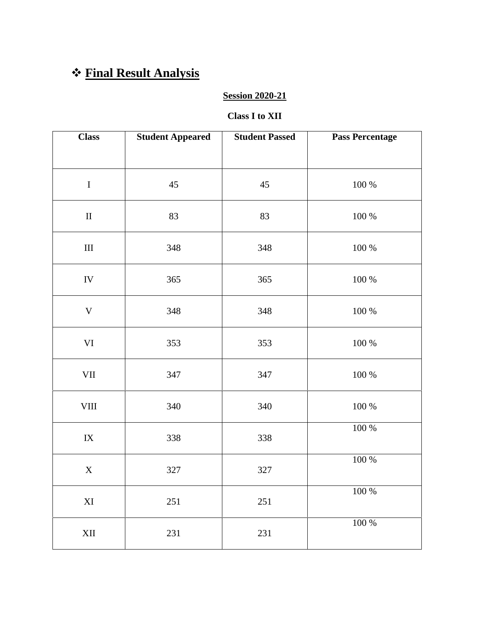## **Final Result Analysis**

#### **Session 2020-21**

#### **Class I to XII**

| <b>Class</b>           | <b>Student Appeared</b> | <b>Student Passed</b> | <b>Pass Percentage</b> |
|------------------------|-------------------------|-----------------------|------------------------|
|                        |                         |                       |                        |
| $\bf I$                | $45\,$                  | 45                    | $100~\%$               |
| $\rm II$               | 83                      | 83                    | $100\ \%$              |
| $\rm III$              | 348                     | 348                   | $100\ \%$              |
| ${\rm IV}$             | 365                     | 365                   | $100\ \%$              |
| $\mathbf V$            | 348                     | 348                   | 100 %                  |
| VI                     | 353                     | 353                   | $100~\%$               |
| $\rm{VII}$             | 347                     | 347                   | $100~\%$               |
| ${\rm VIII}$           | 340                     | 340                   | $100\ \%$              |
| ${\rm IX}$             | 338                     | 338                   | $100~\%$               |
| $\mathbf X$            | 327                     | 327                   | $100~\%$               |
| $\mathbf{X}\mathbf{I}$ | $251\,$                 | $251\,$               | $100\,\%$              |
| $\mbox{XII}$           | 231                     | $231\,$               | $100\ \%$              |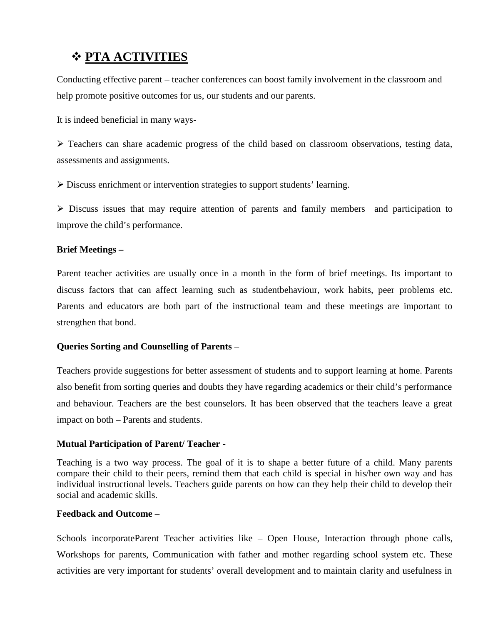## **PTA ACTIVITIES**

Conducting effective parent – teacher conferences can boost family involvement in the classroom and help promote positive outcomes for us, our students and our parents.

It is indeed beneficial in many ways-

 $\triangleright$  Teachers can share academic progress of the child based on classroom observations, testing data, assessments and assignments.

Discuss enrichment or intervention strategies to support students' learning.

 $\triangleright$  Discuss issues that may require attention of parents and family members and participation to improve the child's performance.

#### **Brief Meetings –**

Parent teacher activities are usually once in a month in the form of brief meetings. Its important to discuss factors that can affect learning such as studentbehaviour, work habits, peer problems etc. Parents and educators are both part of the instructional team and these meetings are important to strengthen that bond.

#### **Queries Sorting and Counselling of Parents** –

Teachers provide suggestions for better assessment of students and to support learning at home. Parents also benefit from sorting queries and doubts they have regarding academics or their child's performance and behaviour. Teachers are the best counselors. It has been observed that the teachers leave a great impact on both – Parents and students.

#### **Mutual Participation of Parent/ Teacher -**

Teaching is a two way process. The goal of it is to shape a better future of a child. Many parents compare their child to their peers, remind them that each child is special in his/her own way and has individual instructional levels. Teachers guide parents on how can they help their child to develop their social and academic skills.

#### **Feedback and Outcome** –

Schools incorporateParent Teacher activities like – Open House, Interaction through phone calls, Workshops for parents, Communication with father and mother regarding school system etc. These activities are very important for students' overall development and to maintain clarity and usefulness in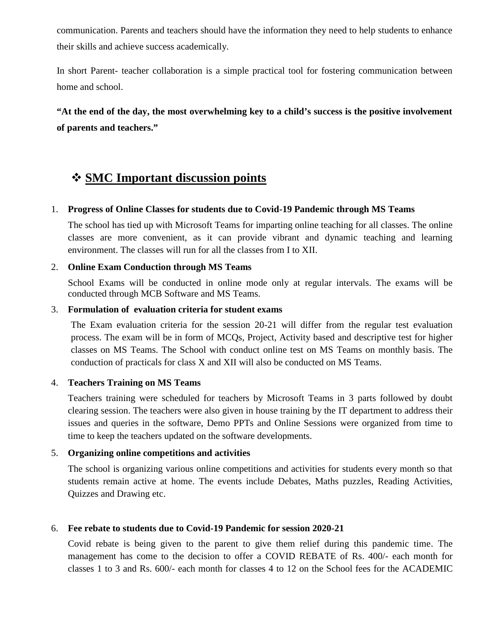communication. Parents and teachers should have the information they need to help students to enhance their skills and achieve success academically.

In short Parent- teacher collaboration is a simple practical tool for fostering communication between home and school.

**"At the end of the day, the most overwhelming key to a child's success is the positive involvement of parents and teachers."**

## **SMC Important discussion points**

#### 1. **Progress of Online Classes for students due to Covid-19 Pandemic through MS Teams**

The school has tied up with Microsoft Teams for imparting online teaching for all classes. The online classes are more convenient, as it can provide vibrant and dynamic teaching and learning environment. The classes will run for all the classes from I to XII.

#### 2. **Online Exam Conduction through MS Teams**

School Exams will be conducted in online mode only at regular intervals. The exams will be conducted through MCB Software and MS Teams.

#### 3. **Formulation of evaluation criteria for student exams**

The Exam evaluation criteria for the session 20-21 will differ from the regular test evaluation process. The exam will be in form of MCQs, Project, Activity based and descriptive test for higher classes on MS Teams. The School with conduct online test on MS Teams on monthly basis. The conduction of practicals for class X and XII will also be conducted on MS Teams.

#### 4. **Teachers Training on MS Teams**

Teachers training were scheduled for teachers by Microsoft Teams in 3 parts followed by doubt clearing session. The teachers were also given in house training by the IT department to address their issues and queries in the software, Demo PPTs and Online Sessions were organized from time to time to keep the teachers updated on the software developments.

#### 5. **Organizing online competitions and activities**

The school is organizing various online competitions and activities for students every month so that students remain active at home. The events include Debates, Maths puzzles, Reading Activities, Quizzes and Drawing etc.

#### 6. **Fee rebate to students due to Covid-19 Pandemic for session 2020-21**

Covid rebate is being given to the parent to give them relief during this pandemic time. The management has come to the decision to offer a COVID REBATE of Rs. 400/- each month for classes 1 to 3 and Rs. 600/- each month for classes 4 to 12 on the School fees for the ACADEMIC